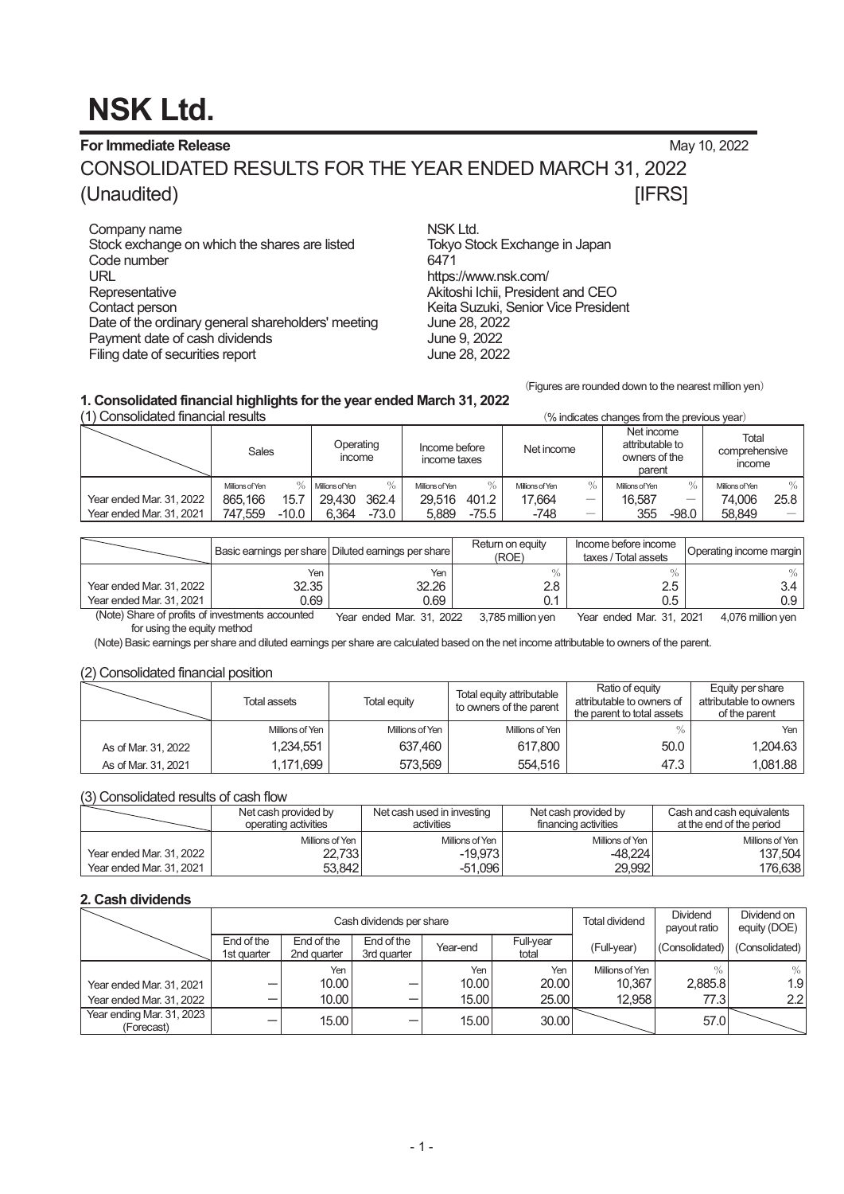# **NSK Ltd.**

**For Immediate Release** May 10, 2022

CONSOLIDATED RESULTS FOR THE YEAR ENDED MARCH 31, 2022 (Unaudited) **[IFRS]** 

Company name<br>Stock exchange on which the shares are listed Tokyo Stock Exchange in Japan Stock exchange on which the shares are listed Tokyo Tokyo Stock exchange on which the shares are listed in Tokyo Code number URL https://www.nsk.com/ Representative Akitoshi Ichii, President and CEO<br>Contact person and CEO Contact person Date of the ordinary general shareholders' meeting Payment date of cash dividends **Figure 10** June 9, 2022 Filing date of securities report Tune 28, 2022

Keita Suzuki, Senior Vice President<br>June 28, 2022

(Figures are rounded down to the nearest million yen)

## **1. Consolidated financial highlights for the year ended March 31, 2022**

(% indicates changes from the previous year) Sales Operating income Income before income taxes Net income Net income attributable to owners of the parent Total comprehensive income Millions of Yen 㸣 Millions of Yen 㸣 Millions of Yen 㸣 Millions of Yen 㸣 Millions of Yen 㸣 Millions of Yen 㸣 Year ended Mar. 31, 2022 865, 166 15.7 29, 430 362.4 29, 516 401.2 17, 664 - 16, 587 - 74, 006 25.8<br>Year ended Mar. 31, 2021 747, 559 - 10.0 6, 364 - 73.0 5, 889 - 75.5 - 748 - 355 - 98.0 58, 849 -Year ended Mar. 31, 2021 | 747, 559  $-10.0$  | 6, 364  $-73.0$  | 5, 889  $-75.5$  |  $-748$   $-$  | 355  $-98.0$ 

|                                                                          |       | Basic earnings per share Diluted earnings per share | Return on equity<br>(ROE) | Income before income<br>taxes / Total assets | Operating income margin |
|--------------------------------------------------------------------------|-------|-----------------------------------------------------|---------------------------|----------------------------------------------|-------------------------|
|                                                                          | Yen   | Yen                                                 |                           |                                              |                         |
| Year ended Mar. 31, 2022                                                 | 32.35 | 32.26                                               | 2.8                       | 2.5                                          | 3.4                     |
| Year ended Mar. 31, 2021                                                 | 0.69  | 0.69                                                |                           | 0.5                                          | 0.9                     |
| $(A \cup A)$ $O \cup B$ and $A$ must be a finite point of the set of $A$ |       | - - ----<br>$\sim$ $\sim$<br>.                      | .<br>- ---                | $ -$<br>.<br>- - --- -                       | $  -$<br>.              |

(Note) Share of profits of investments accounted for using the equity method Year ended Mar. 31, 2022 3,785 million yen Year ended Mar. 31, 2021 4,076 million yen

(Note) Basic earnings per share and diluted earnings per share are calculated based on the net income attributable to owners of the parent.

#### (2) Consolidated financial position

|                     | Total assets    | Total equity    | Total equity attributable<br>to owners of the parent | Ratio of equity<br>attributable to owners of<br>the parent to total assets | Equity per share<br>attributable to owners<br>of the parent |
|---------------------|-----------------|-----------------|------------------------------------------------------|----------------------------------------------------------------------------|-------------------------------------------------------------|
|                     | Millions of Yen | Millions of Yen | Millions of Yen                                      | $\frac{0}{0}$                                                              | Yen                                                         |
| As of Mar. 31, 2022 | 1.234.551       | 637.460         | 617,800                                              | 50.0                                                                       | 1,204.63                                                    |
| As of Mar. 31, 2021 | 1.171.699       | 573.569         | 554.516                                              | 47.3                                                                       | 1.081.88                                                    |

#### (3) Consolidated results of cash flow

|                          | Net cash provided by<br>operating activities | Net cash used in investing<br>activities | Net cash provided by<br>financing activities | Cash and cash equivalents<br>at the end of the period |
|--------------------------|----------------------------------------------|------------------------------------------|----------------------------------------------|-------------------------------------------------------|
|                          | Millions of Yen                              | Millions of Yen                          | Millions of Yen                              | Millions of Yen                                       |
| Year ended Mar. 31, 2022 | 22,733                                       | $-19.973$                                | $-48.224$                                    | 137.504                                               |
| Year ended Mar. 31, 2021 | 53.842                                       | $-51.096$                                | 29.9921                                      | 176.638                                               |

## **2. Cash dividends**

|                                         | Cash dividends per share  |                           |                           |          |                    | <b>Total dividend</b> | <b>Dividend</b><br>payout ratio | Dividend on<br>equity (DOE) |
|-----------------------------------------|---------------------------|---------------------------|---------------------------|----------|--------------------|-----------------------|---------------------------------|-----------------------------|
|                                         | End of the<br>1st quarter | End of the<br>2nd quarter | End of the<br>3rd quarter | Year-end | Full-year<br>total | (Full-year)           | (Consolidated)                  | (Consolidated)              |
|                                         |                           | Yen                       |                           | Yen      | Yen                | Millions of Yen       | $\%$                            | $\%$                        |
| Year ended Mar. 31, 2021                |                           | 10.00                     | –                         | 10.00    | 20.00              | 10.367                | 2.885.8                         | 1.9                         |
| Year ended Mar. 31, 2022                |                           | 10.00                     | –                         | 15.00    | 25.00              | 12.958                | 77.31                           | 2.2                         |
| Year ending Mar. 31, 2023<br>(Forecast) |                           | 15.00                     | –                         | 15.00    | 30.00              |                       | 57.0                            |                             |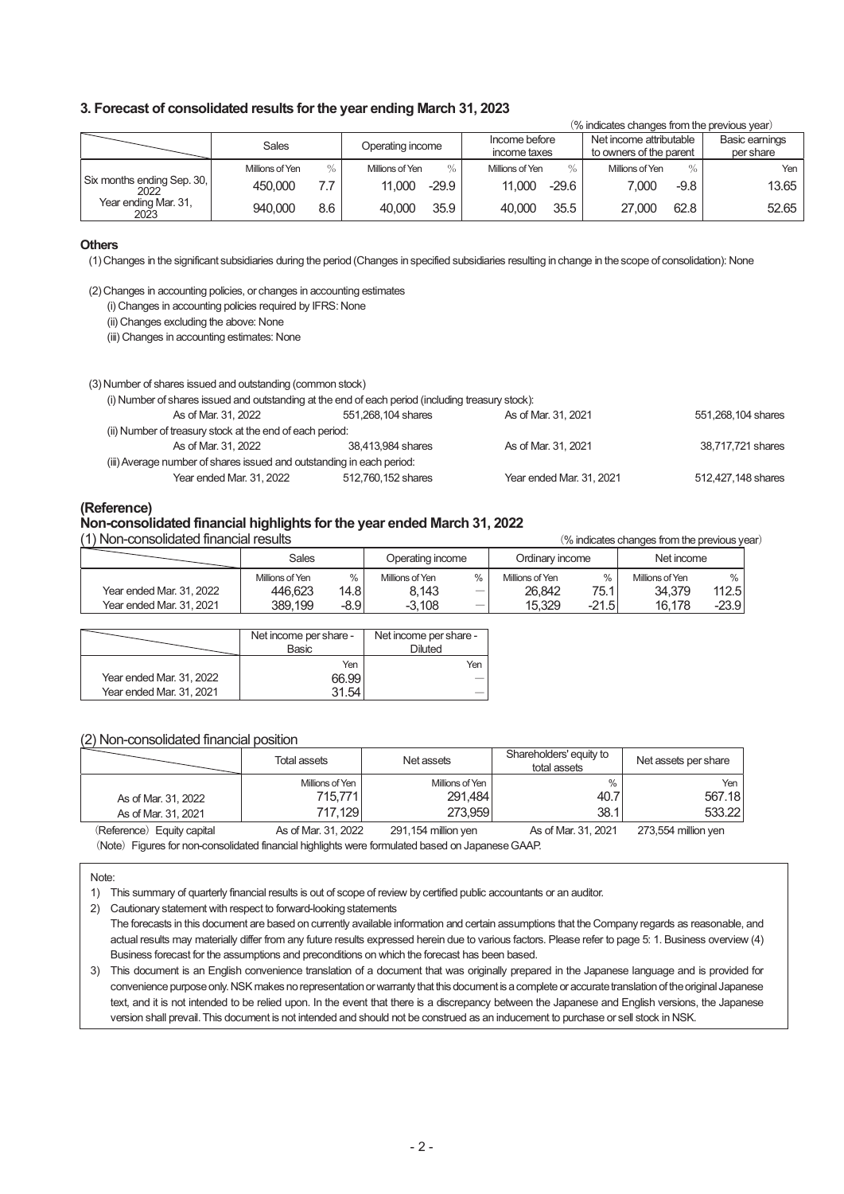#### **3. Forecast of consolidated results for the year ending March 31, 2023**

|                                    |                         |                         |                                  | (% indicates changes from the previous year)       |                             |
|------------------------------------|-------------------------|-------------------------|----------------------------------|----------------------------------------------------|-----------------------------|
|                                    | Sales                   | Operating income        | Income before<br>income taxes    | Net income attributable<br>to owners of the parent | Basic earnings<br>per share |
|                                    | $\%$<br>Millions of Yen | $\%$<br>Millions of Yen | Millions of Yen<br>$\frac{0}{0}$ | $\%$<br>Millions of Yen                            | Yen                         |
| Six months ending Sep. 30,<br>2022 | 7.7<br>450,000          | $-29.9$<br>11.000       | $-29.6$<br>11.000                | 7.000<br>$-9.8$                                    | 13.65                       |
| Year ending Mar. 31,<br>2023       | 940.000<br>8.6          | 35.9<br>40.000          | 35.5<br>40.000                   | 62.8<br>27,000                                     | 52.65                       |

#### **Others**

(1) Changes in the significant subsidiaries during the period (Changes in specified subsidiaries resulting in change in the scope of consolidation): None

(2) Changes in accounting policies, or changes in accounting estimates

(i) Changes in accounting policies required by IFRS: None

(ii) Changes excluding the above: None

(iii) Changes in accounting estimates: None

#### (3) Number of shares issued and outstanding (common stock)

#### (i) Number of shares issued and outstanding at the end of each period (including treasury stock):

| As of Mar. 31, 2022                                                   | 551,268,104 shares | As of Mar. 31, 2021      | 551,268,104 shares |
|-----------------------------------------------------------------------|--------------------|--------------------------|--------------------|
| (ii) Number of treasury stock at the end of each period:              |                    |                          |                    |
| As of Mar. 31, 2022                                                   | 38.413.984 shares  | As of Mar. 31, 2021      | 38.717.721 shares  |
| (iii) Average number of shares issued and outstanding in each period: |                    |                          |                    |
| Year ended Mar. 31, 2022                                              | 512,760,152 shares | Year ended Mar. 31, 2021 | 512,427,148 shares |

**(Reference)**

#### **Non-consolidated financial highlights for the year ended March 31, 2022**

(1) Non-consolidated financial results 㸦% indicates changes from the previous year㸧

|                          | Sales           |        | Operating income |   | Ordinary income |         | Net income      |         |
|--------------------------|-----------------|--------|------------------|---|-----------------|---------|-----------------|---------|
|                          | Millions of Yen | %      | Millions of Yen  | % | Millions of Yen | %       | Millions of Yen | 0/2     |
| Year ended Mar. 31, 2022 | 446.623         | 14.8   | 8.143            |   | 26.842          | 75.1    | 34.379          | 112.5   |
| Year ended Mar. 31, 2021 | 389.199         | -8.9 ' | $-3.108$         |   | 15.329          | $-21.5$ | 16.178          | $-23.9$ |

|                          | Net income per share -<br>Basic | Net income per share -<br>Diluted |
|--------------------------|---------------------------------|-----------------------------------|
|                          | Yen                             | Yen                               |
| Year ended Mar. 31, 2022 | 66.99                           |                                   |
| Year ended Mar. 31, 2021 |                                 |                                   |

## (2) Non-consolidated financial position

|                                            | Total assets                          | Net assets                            | Shareholders' equity to<br>total assets | Net assets per share    |
|--------------------------------------------|---------------------------------------|---------------------------------------|-----------------------------------------|-------------------------|
| As of Mar. 31, 2022<br>As of Mar. 31, 2021 | Millions of Yen<br>715.771<br>717.129 | Millions of Yen<br>291.484<br>273.959 | %<br>40.7<br>38.1                       | Yen<br>567.18<br>533.22 |
| (Reference) Equity capital                 | As of Mar. 31, 2022                   | 291,154 million yen                   | As of Mar. 31, 2021                     | 273,554 million yen     |

(Note) Figures for non-consolidated financial highlights were formulated based on Japanese GAAP.

1) This summary of quarterly financial results is out of scope of review by certified public accountants or an auditor.

2) Cautionary statement with respect to forward-looking statements

The forecasts in this document are based on currently available information and certain assumptions that the Company regards as reasonable, and actual results may materially differ from any future results expressed herein due to various factors. Please refer to page 5: 1. Business overview (4) Business forecast for the assumptions and preconditions on which the forecast has been based.

3) This document is an English convenience translation of a document that was originally prepared in the Japanese language and is provided for convenience purpose only. NSK makes no representation or warranty that this document is a complete or accurate translation of the original Japanese text, and it is not intended to be relied upon. In the event that there is a discrepancy between the Japanese and English versions, the Japanese version shall prevail. This document is not intended and should not be construed as an inducement to purchase or sell stock in NSK.

Note: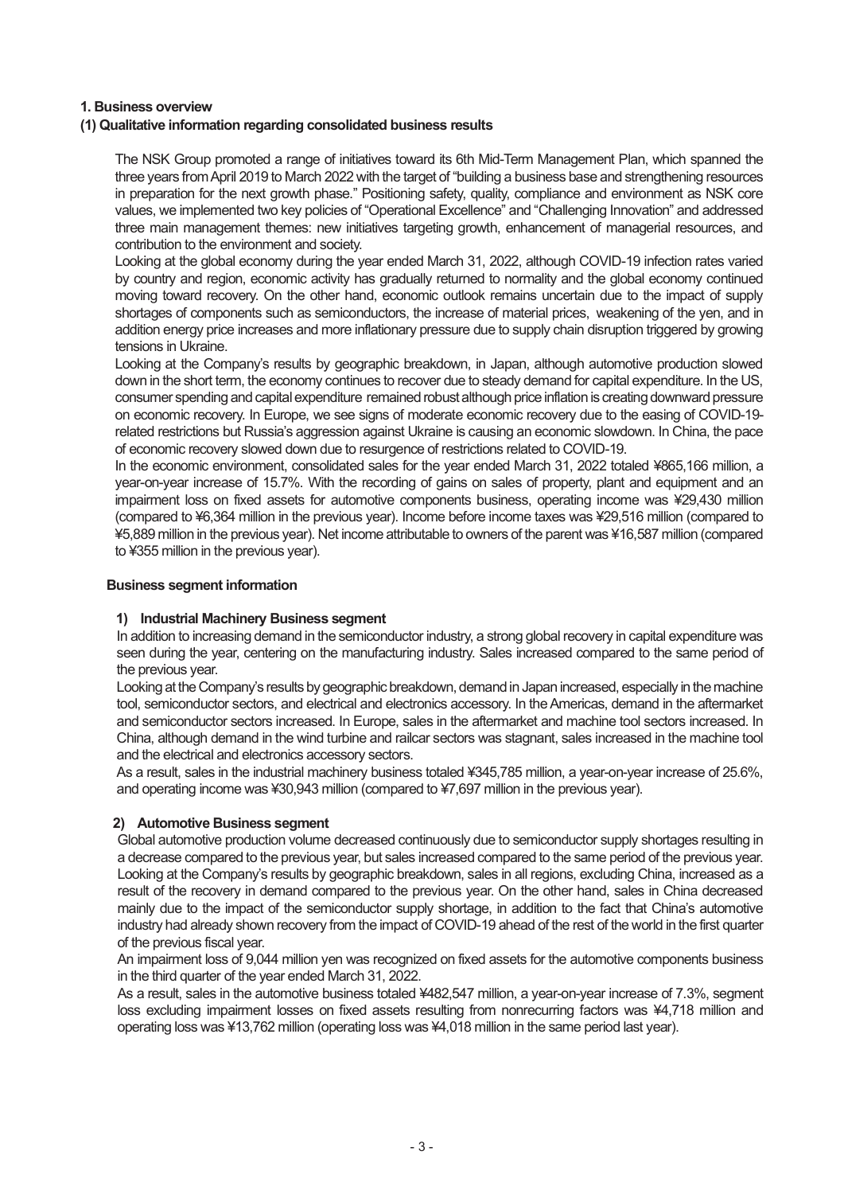## **1. Business overview**

## **(1) Qualitative information regarding consolidated business results**

The NSK Group promoted a range of initiatives toward its 6th Mid-Term Management Plan, which spanned the three years from April 2019 to March 2022 with the target of "building a business base and strengthening resources in preparation for the next growth phase." Positioning safety, quality, compliance and environment as NSK core values, we implemented two key policies of "Operational Excellence" and "Challenging Innovation" and addressed three main management themes: new initiatives targeting growth, enhancement of managerial resources, and contribution to the environment and society.

Looking at the global economy during the year ended March 31, 2022, although COVID-19 infection rates varied by country and region, economic activity has gradually returned to normality and the global economy continued moving toward recovery. On the other hand, economic outlook remains uncertain due to the impact of supply shortages of components such as semiconductors, the increase of material prices, weakening of the yen, and in addition energy price increases and more inflationary pressure due to supply chain disruption triggered by growing tensions in Ukraine.

Looking at the Company's results by geographic breakdown, in Japan, although automotive production slowed down in the short term, the economy continues to recover due to steady demand for capital expenditure. In the US, consumer spending and capital expenditure remained robust although price inflation is creating downward pressure on economic recovery. In Europe, we see signs of moderate economic recovery due to the easing of COVID-19 related restrictions but Russia's aggression against Ukraine is causing an economic slowdown. In China, the pace of economic recovery slowed down due to resurgence of restrictions related to COVID-19.

In the economic environment, consolidated sales for the year ended March 31, 2022 totaled ¥865,166 million, a year-on-year increase of 15.7%. With the recording of gains on sales of property, plant and equipment and an impairment loss on fixed assets for automotive components business, operating income was ¥29,430 million (compared to ¥6,364 million in the previous year). Income before income taxes was ¥29,516 million (compared to ¥5,889 million in the previous year). Net income attributable to owners of the parent was ¥16,587 million (compared to ¥355 million in the previous year).

## **Business segment information**

## **1) Industrial Machinery Business segment**

In addition to increasing demand in the semiconductor industry, a strong global recovery in capital expenditure was seen during the year, centering on the manufacturing industry. Sales increased compared to the same period of the previous year.

Looking at the Company's results by geographic breakdown, demand in Japan increased, especially in the machine tool, semiconductor sectors, and electrical and electronics accessory. In the Americas, demand in the aftermarket and semiconductor sectors increased. In Europe, sales in the aftermarket and machine tool sectors increased. In China, although demand in the wind turbine and railcar sectors was stagnant, sales increased in the machine tool and the electrical and electronics accessory sectors.

As a result, sales in the industrial machinery business totaled ¥345,785 million, a year-on-year increase of 25.6%, and operating income was ¥30,943 million (compared to ¥7,697 million in the previous year).

## **2) Automotive Business segment**

Global automotive production volume decreased continuously due to semiconductor supply shortages resulting in a decrease compared to the previous year, but sales increased compared to the same period of the previous year. Looking at the Company's results by geographic breakdown, sales in all regions, excluding China, increased as a result of the recovery in demand compared to the previous year. On the other hand, sales in China decreased mainly due to the impact of the semiconductor supply shortage, in addition to the fact that China's automotive industry had already shown recovery from the impact of COVID-19 ahead of the rest of the world in the first quarter of the previous fiscal year.

An impairment loss of 9,044 million yen was recognized on fixed assets for the automotive components business in the third quarter of the year ended March 31, 2022.

As a result, sales in the automotive business totaled ¥482,547 million, a year-on-year increase of 7.3%, segment loss excluding impairment losses on fixed assets resulting from nonrecurring factors was ¥4,718 million and operating loss was ¥13,762 million (operating loss was ¥4,018 million in the same period last year).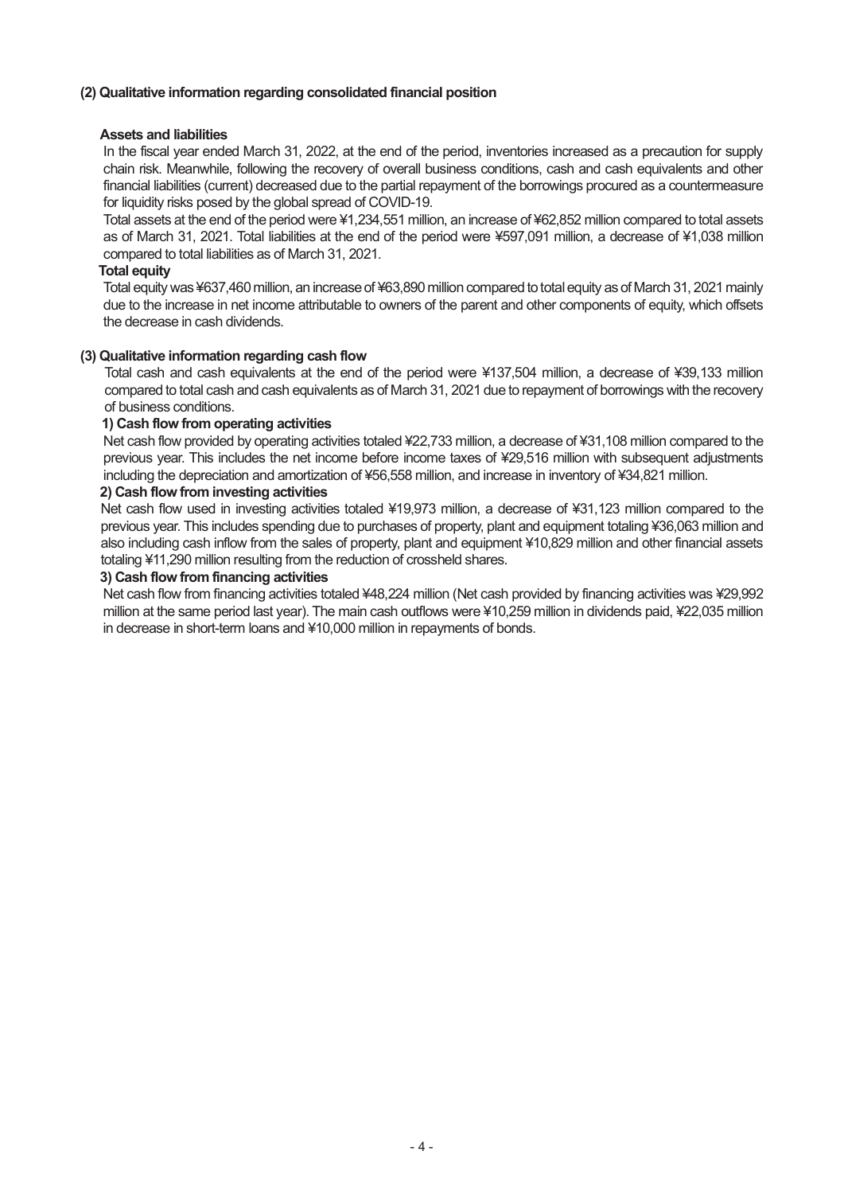## **(2) Qualitative information regarding consolidated financial position**

## **Assets and liabilities**

In the fiscal year ended March 31, 2022, at the end of the period, inventories increased as a precaution for supply chain risk. Meanwhile, following the recovery of overall business conditions, cash and cash equivalents and other financial liabilities (current) decreased due to the partial repayment of the borrowings procured as a countermeasure for liquidity risks posed by the global spread of COVID-19.

Total assets at the end of the period were ¥1,234,551 million, an increase of ¥62,852 million compared to total assets as of March 31, 2021. Total liabilities at the end of the period were ¥597,091 million, a decrease of ¥1,038 million compared to total liabilities as of March 31, 2021.

## **Total equity**

Total equity was ¥637,460 million, an increase of ¥63,890 million compared to total equity as of March 31, 2021 mainly due to the increase in net income attributable to owners of the parent and other components of equity, which offsets the decrease in cash dividends.

## **(3) Qualitative information regarding cash flow**

Total cash and cash equivalents at the end of the period were ¥137,504 million, a decrease of ¥39,133 million compared to total cash and cash equivalents as of March 31, 2021 due to repayment of borrowings with the recovery of business conditions.

## **1) Cash flow from operating activities**

Net cash flow provided by operating activities totaled ¥22,733 million, a decrease of ¥31,108 million compared to the previous year. This includes the net income before income taxes of ¥29,516 million with subsequent adjustments including the depreciation and amortization of ¥56,558 million, and increase in inventory of ¥34,821 million.

## **2) Cash flow from investing activities**

Net cash flow used in investing activities totaled ¥19,973 million, a decrease of ¥31,123 million compared to the previous year. This includes spending due to purchases of property, plant and equipment totaling ¥36,063 million and also including cash inflow from the sales of property, plant and equipment ¥10,829 million and other financial assets totaling ¥11,290 million resulting from the reduction of crossheld shares.

#### **3) Cash flow from financing activities**

Net cash flow from financing activities totaled ¥48,224 million (Net cash provided by financing activities was ¥29,992 million at the same period last year). The main cash outflows were ¥10,259 million in dividends paid, ¥22,035 million in decrease in short-term loans and ¥10,000 million in repayments of bonds.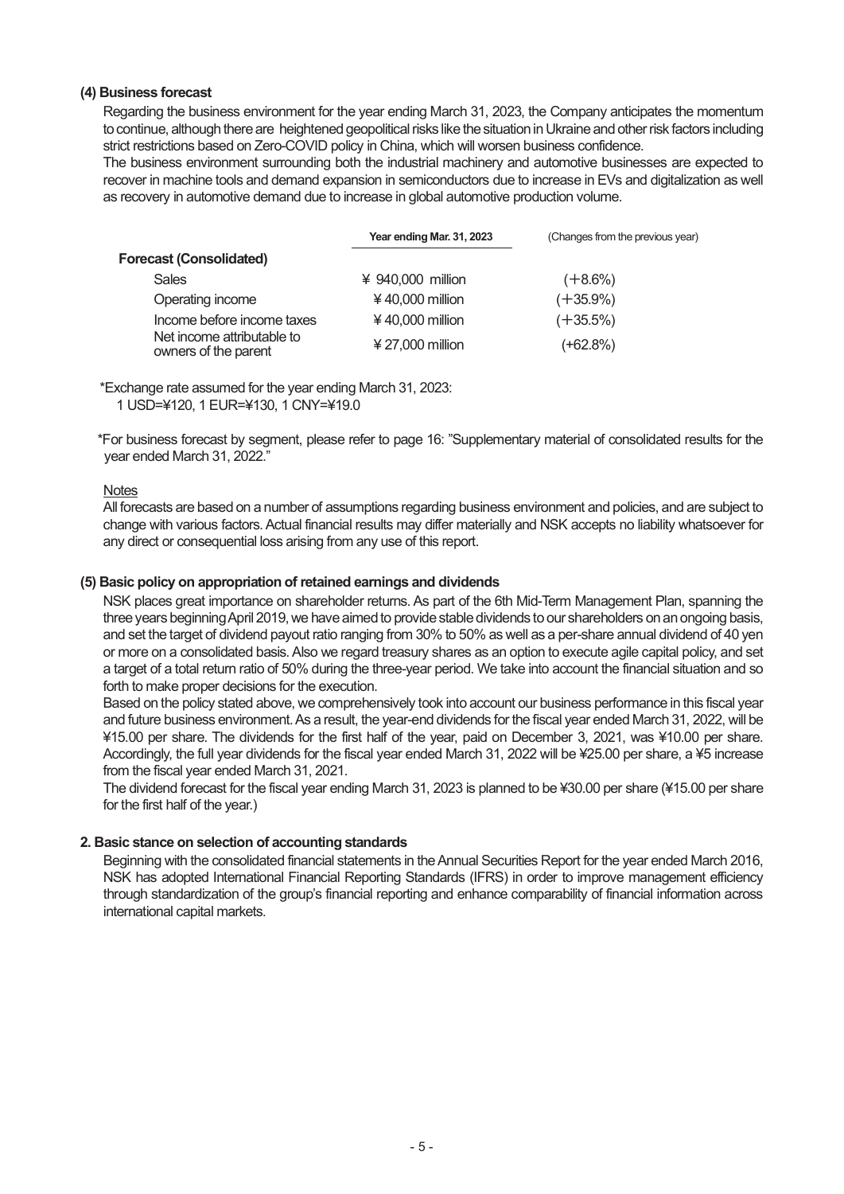## **(4) Business forecast**

Regarding the business environment for the year ending March 31, 2023, the Company anticipates the momentum to continue, although there are heightened geopolitical risks like the situation in Ukraine and other risk factors including strict restrictions based on Zero-COVID policy in China, which will worsen business confidence.

The business environment surrounding both the industrial machinery and automotive businesses are expected to recover in machine tools and demand expansion in semiconductors due to increase in EVs and digitalization as well as recovery in automotive demand due to increase in global automotive production volume.

|                                                    | Year ending Mar. 31, 2023 | (Changes from the previous year) |
|----------------------------------------------------|---------------------------|----------------------------------|
| <b>Forecast (Consolidated)</b>                     |                           |                                  |
| <b>Sales</b>                                       | ¥ 940,000 million         | $(+8.6%)$                        |
| Operating income                                   | $40,000$ million          | $(+35.9\%)$                      |
| Income before income taxes                         | $40,000$ million          | $(+35.5\%)$                      |
| Net income attributable to<br>owners of the parent | $427,000$ million         | (+62.8%)                         |

\*Exchange rate assumed for the year ending March 31, 2023:

1 USD=¥120, 1 EUR=¥130, 1 CNY=¥19.0

\*For business forecast by segment, please refer to page 16: "Supplementary material of consolidated results for the year ended March 31, 2022."

## **Notes**

All forecasts are based on a number of assumptions regarding business environment and policies, and are subject to change with various factors. Actual financial results may differ materially and NSK accepts no liability whatsoever for any direct or consequential loss arising from any use of this report.

## **(5) Basic policy on appropriation of retained earnings and dividends**

NSK places great importance on shareholder returns. As part of the 6th Mid-Term Management Plan, spanning the three years beginning April 2019, we have aimed to provide stable dividends to our shareholders on an ongoing basis, and set the target of dividend payout ratio ranging from 30% to 50% as well as a per-share annual dividend of 40 yen or more on a consolidated basis. Also we regard treasury shares as an option to execute agile capital policy, and set a target of a total return ratio of 50% during the three-year period. We take into account the financial situation and so forth to make proper decisions for the execution.

Based on the policy stated above, we comprehensively took into account our business performance in this fiscal year and future business environment. As a result, the year-end dividends for the fiscal year ended March 31, 2022, will be ¥15.00 per share. The dividends for the first half of the year, paid on December 3, 2021, was ¥10.00 per share. Accordingly, the full year dividends for the fiscal year ended March 31, 2022 will be ¥25.00 per share, a ¥5 increase from the fiscal year ended March 31, 2021.

The dividend forecast for the fiscal year ending March 31, 2023 is planned to be ¥30.00 per share (¥15.00 per share for the first half of the year.)

## **2. Basic stance on selection of accounting standards**

Beginning with the consolidated financial statements in the Annual Securities Report for the year ended March 2016, NSK has adopted International Financial Reporting Standards (IFRS) in order to improve management efficiency through standardization of the group's financial reporting and enhance comparability of financial information across international capital markets.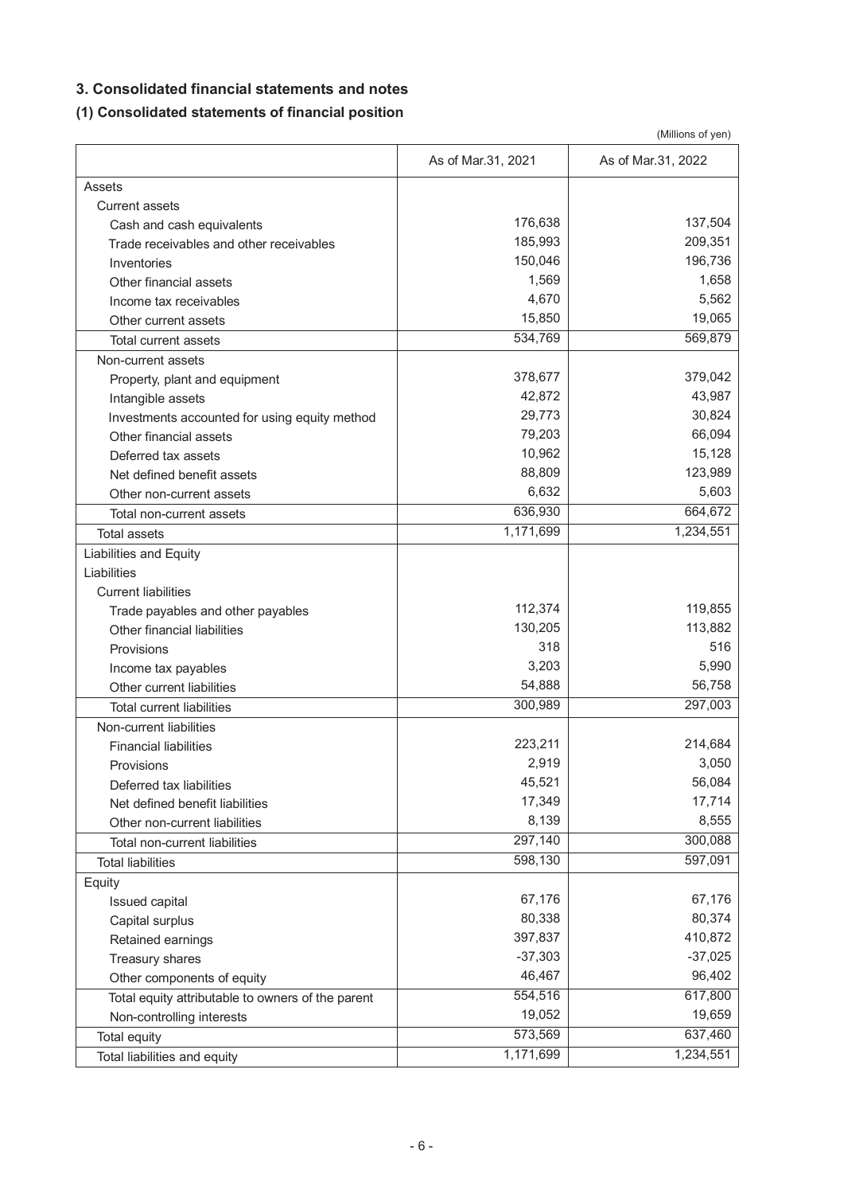## **3. Consolidated financial statements and notes**

## **(1) Consolidated statements of financial position**

|                                                   |                    | (Millions of yen)  |
|---------------------------------------------------|--------------------|--------------------|
|                                                   | As of Mar.31, 2021 | As of Mar.31, 2022 |
| Assets                                            |                    |                    |
| <b>Current assets</b>                             |                    |                    |
| Cash and cash equivalents                         | 176,638            | 137,504            |
| Trade receivables and other receivables           | 185,993            | 209,351            |
| Inventories                                       | 150,046            | 196,736            |
| Other financial assets                            | 1,569              | 1,658              |
| Income tax receivables                            | 4,670              | 5,562              |
| Other current assets                              | 15,850             | 19,065             |
| <b>Total current assets</b>                       | 534,769            | 569,879            |
| Non-current assets                                |                    |                    |
| Property, plant and equipment                     | 378,677            | 379,042            |
| Intangible assets                                 | 42,872             | 43,987             |
| Investments accounted for using equity method     | 29,773             | 30,824             |
| Other financial assets                            | 79,203             | 66,094             |
| Deferred tax assets                               | 10,962             | 15,128             |
| Net defined benefit assets                        | 88,809             | 123,989            |
| Other non-current assets                          | 6,632              | 5,603              |
| Total non-current assets                          | 636,930            | 664,672            |
| Total assets                                      | 1,171,699          | 1,234,551          |
| <b>Liabilities and Equity</b>                     |                    |                    |
| Liabilities                                       |                    |                    |
| <b>Current liabilities</b>                        |                    |                    |
| Trade payables and other payables                 | 112,374            | 119,855            |
| Other financial liabilities                       | 130,205            | 113,882            |
| Provisions                                        | 318                | 516                |
| Income tax payables                               | 3,203              | 5,990              |
| Other current liabilities                         | 54,888             | 56,758             |
| <b>Total current liabilities</b>                  | 300,989            | 297,003            |
| Non-current liabilities                           |                    |                    |
| <b>Financial liabilities</b>                      | 223,211            | 214,684            |
| Provisions                                        | 2,919              | 3,050              |
| Deferred tax liabilities                          | 45,521             | 56,084             |
| Net defined benefit liabilities                   | 17,349             | 17,714             |
| Other non-current liabilities                     | 8,139              | 8,555              |
| Total non-current liabilities                     | 297,140            | 300,088            |
| <b>Total liabilities</b>                          | 598,130            | 597,091            |
| Equity                                            |                    |                    |
| Issued capital                                    | 67,176             | 67,176             |
| Capital surplus                                   | 80,338             | 80,374             |
| Retained earnings                                 | 397,837            | 410,872            |
| Treasury shares                                   | $-37,303$          | $-37,025$          |
| Other components of equity                        | 46,467             | 96,402             |
| Total equity attributable to owners of the parent | 554,516            | 617,800            |
| Non-controlling interests                         | 19,052             | 19,659             |
| Total equity                                      | 573,569            | 637,460            |
| Total liabilities and equity                      | 1,171,699          | 1,234,551          |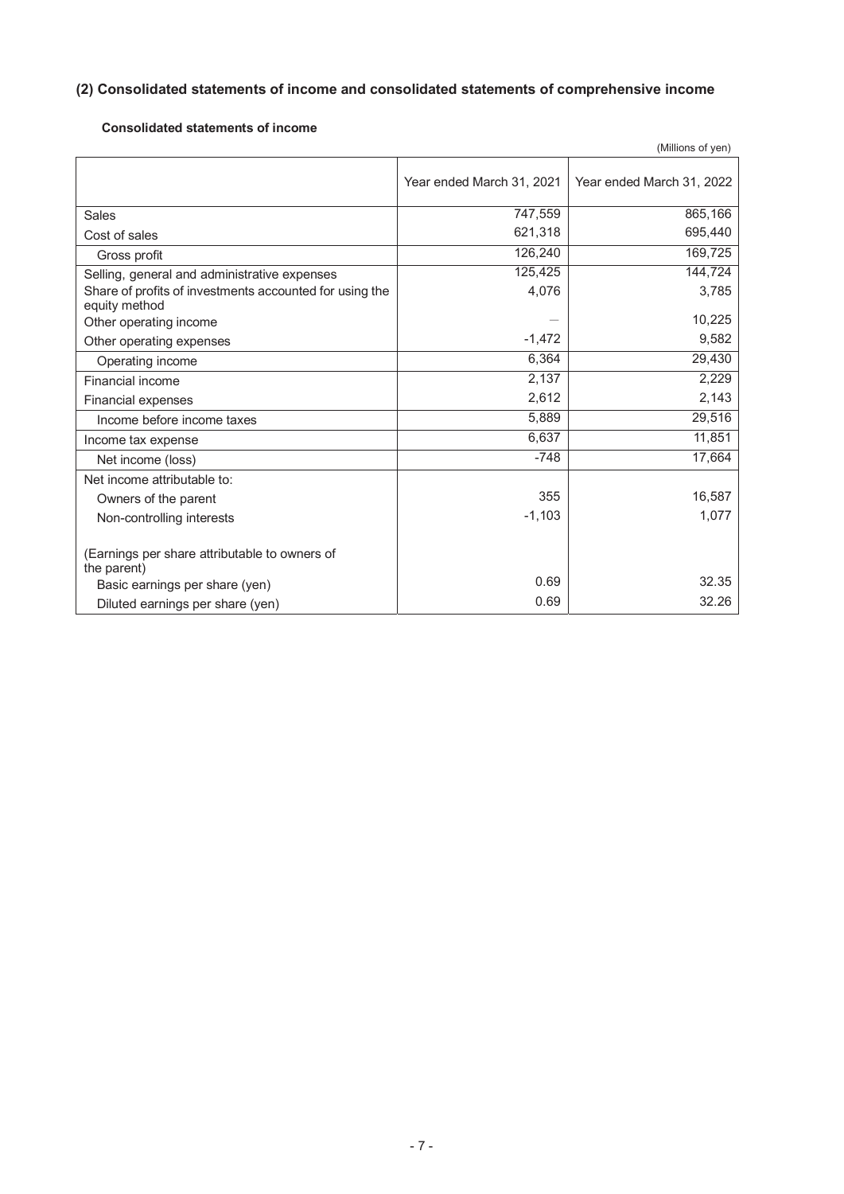## **(2) Consolidated statements of income and consolidated statements of comprehensive income**

## **Consolidated statements of income**

|                                                                          |                           | (Millions of yen)         |
|--------------------------------------------------------------------------|---------------------------|---------------------------|
|                                                                          | Year ended March 31, 2021 | Year ended March 31, 2022 |
| Sales                                                                    | 747,559                   | 865,166                   |
| Cost of sales                                                            | 621,318                   | 695,440                   |
| Gross profit                                                             | 126,240                   | 169,725                   |
| Selling, general and administrative expenses                             | 125,425                   | 144,724                   |
| Share of profits of investments accounted for using the<br>equity method | 4,076                     | 3,785                     |
| Other operating income                                                   |                           | 10,225                    |
| Other operating expenses                                                 | $-1,472$                  | 9,582                     |
| Operating income                                                         | 6,364                     | 29,430                    |
| Financial income                                                         | 2,137                     | 2,229                     |
| Financial expenses                                                       | 2,612                     | 2,143                     |
| Income before income taxes                                               | 5,889                     | 29,516                    |
| Income tax expense                                                       | 6.637                     | 11,851                    |
| Net income (loss)                                                        | $-748$                    | 17,664                    |
| Net income attributable to:                                              |                           |                           |
| Owners of the parent                                                     | 355                       | 16,587                    |
| Non-controlling interests                                                | $-1,103$                  | 1,077                     |
| (Earnings per share attributable to owners of<br>the parent)             |                           |                           |
| Basic earnings per share (yen)                                           | 0.69                      | 32.35                     |
| Diluted earnings per share (yen)                                         | 0.69                      | 32.26                     |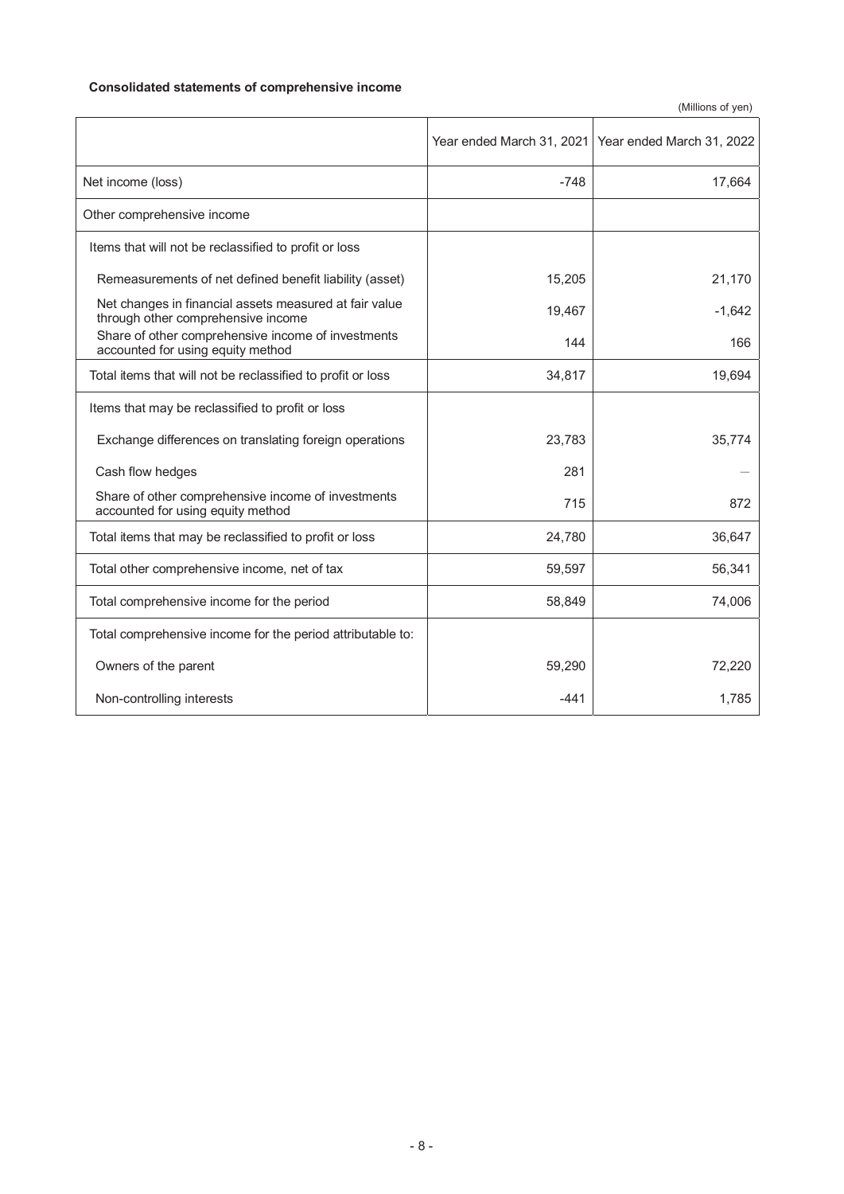## **Consolidated statements of comprehensive income**

(Millions of yen)

|                                                                                              | Year ended March 31, 2021 | Year ended March 31, 2022 |
|----------------------------------------------------------------------------------------------|---------------------------|---------------------------|
| Net income (loss)                                                                            | $-748$                    | 17,664                    |
| Other comprehensive income                                                                   |                           |                           |
| Items that will not be reclassified to profit or loss                                        |                           |                           |
| Remeasurements of net defined benefit liability (asset)                                      | 15,205                    | 21,170                    |
| Net changes in financial assets measured at fair value<br>through other comprehensive income | 19,467                    | $-1,642$                  |
| Share of other comprehensive income of investments<br>accounted for using equity method      | 144                       | 166                       |
| Total items that will not be reclassified to profit or loss                                  | 34,817                    | 19,694                    |
| Items that may be reclassified to profit or loss                                             |                           |                           |
| Exchange differences on translating foreign operations                                       | 23,783                    | 35,774                    |
| Cash flow hedges                                                                             | 281                       |                           |
| Share of other comprehensive income of investments<br>accounted for using equity method      | 715                       | 872                       |
| Total items that may be reclassified to profit or loss                                       | 24,780                    | 36,647                    |
| Total other comprehensive income, net of tax                                                 | 59,597                    | 56,341                    |
| Total comprehensive income for the period                                                    | 58,849                    | 74,006                    |
| Total comprehensive income for the period attributable to:                                   |                           |                           |
| Owners of the parent                                                                         | 59,290                    | 72,220                    |
| Non-controlling interests                                                                    | $-441$                    | 1,785                     |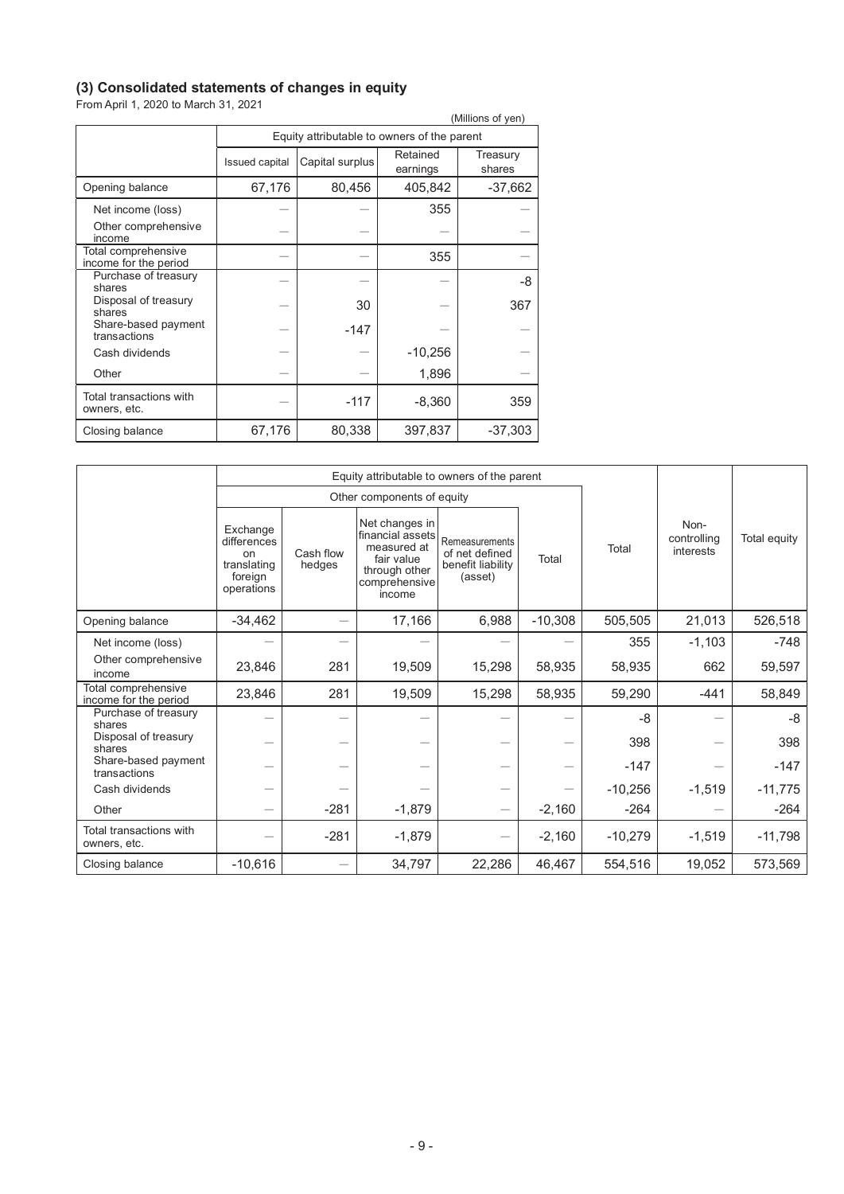## **(3) Consolidated statements of changes in equity**

From April 1, 2020 to March 31, 2021

|                                              |                       |                                             |                      | (Millions of yen)  |  |  |  |  |
|----------------------------------------------|-----------------------|---------------------------------------------|----------------------|--------------------|--|--|--|--|
|                                              |                       | Equity attributable to owners of the parent |                      |                    |  |  |  |  |
|                                              | <b>Issued capital</b> | Capital surplus                             | Retained<br>earnings | Treasury<br>shares |  |  |  |  |
| Opening balance                              | 67,176                | 80,456                                      | 405,842              | $-37,662$          |  |  |  |  |
| Net income (loss)                            |                       |                                             | 355                  |                    |  |  |  |  |
| Other comprehensive<br>income                |                       |                                             |                      |                    |  |  |  |  |
| Total comprehensive<br>income for the period |                       |                                             | 355                  |                    |  |  |  |  |
| Purchase of treasury<br>shares               |                       |                                             |                      | -8                 |  |  |  |  |
| Disposal of treasury<br>shares               |                       | 30                                          |                      | 367                |  |  |  |  |
| Share-based payment<br>transactions          |                       | $-147$                                      |                      |                    |  |  |  |  |
| Cash dividends                               |                       |                                             | $-10,256$            |                    |  |  |  |  |
| Other                                        |                       |                                             | 1,896                |                    |  |  |  |  |
| Total transactions with<br>owners, etc.      |                       | $-117$                                      | $-8,360$             | 359                |  |  |  |  |
| Closing balance                              | 67,176                | 80,338                                      | 397,837              | $-37,303$          |  |  |  |  |

|                                              |                                                                       | Equity attributable to owners of the parent |                                                                                                             |                                                                  |           |           |                                  |              |
|----------------------------------------------|-----------------------------------------------------------------------|---------------------------------------------|-------------------------------------------------------------------------------------------------------------|------------------------------------------------------------------|-----------|-----------|----------------------------------|--------------|
|                                              |                                                                       |                                             | Other components of equity                                                                                  |                                                                  |           |           |                                  |              |
|                                              | Exchange<br>differences<br>on<br>translating<br>foreign<br>operations | Cash flow<br>hedges                         | Net changes in<br>financial assets<br>measured at<br>fair value<br>through other<br>comprehensive<br>income | Remeasurements<br>of net defined<br>benefit liability<br>(asset) | Total     | Total     | Non-<br>controlling<br>interests | Total equity |
| Opening balance                              | $-34,462$                                                             | $\overline{\phantom{0}}$                    | 17,166                                                                                                      | 6,988                                                            | $-10,308$ | 505,505   | 21,013                           | 526,518      |
| Net income (loss)                            |                                                                       |                                             |                                                                                                             |                                                                  |           | 355       | $-1,103$                         | $-748$       |
| Other comprehensive<br>income                | 23,846                                                                | 281                                         | 19,509                                                                                                      | 15,298                                                           | 58,935    | 58,935    | 662                              | 59,597       |
| Total comprehensive<br>income for the period | 23,846                                                                | 281                                         | 19,509                                                                                                      | 15,298                                                           | 58,935    | 59,290    | -441                             | 58,849       |
| Purchase of treasury<br>shares               |                                                                       |                                             |                                                                                                             |                                                                  |           | -8        |                                  | -8           |
| Disposal of treasury<br>shares               |                                                                       |                                             |                                                                                                             |                                                                  | —         | 398       |                                  | 398          |
| Share-based payment<br>transactions          |                                                                       |                                             |                                                                                                             | —                                                                |           | $-147$    |                                  | $-147$       |
| Cash dividends                               |                                                                       |                                             |                                                                                                             |                                                                  |           | $-10,256$ | $-1,519$                         | $-11,775$    |
| Other                                        |                                                                       | $-281$                                      | $-1,879$                                                                                                    | $\overline{\phantom{0}}$                                         | $-2,160$  | $-264$    |                                  | $-264$       |
| Total transactions with<br>owners, etc.      |                                                                       | $-281$                                      | $-1,879$                                                                                                    |                                                                  | $-2,160$  | $-10,279$ | $-1,519$                         | $-11,798$    |
| Closing balance                              | $-10,616$                                                             |                                             | 34,797                                                                                                      | 22,286                                                           | 46,467    | 554,516   | 19,052                           | 573,569      |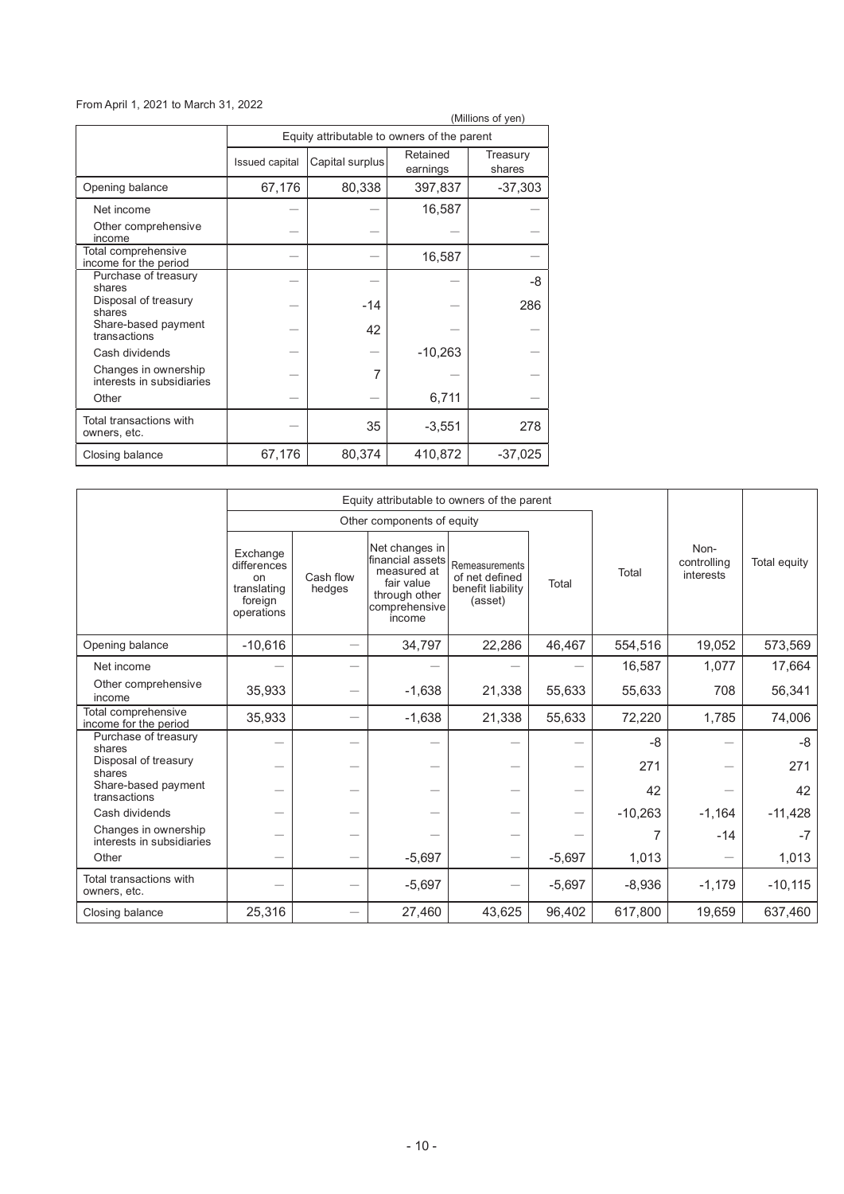## From April 1, 2021 to March 31, 2022

| (Millions of yen)                                 |                |                                             |                      |                    |  |  |  |
|---------------------------------------------------|----------------|---------------------------------------------|----------------------|--------------------|--|--|--|
|                                                   |                | Equity attributable to owners of the parent |                      |                    |  |  |  |
|                                                   | Issued capital | Capital surplus                             | Retained<br>earnings | Treasury<br>shares |  |  |  |
| Opening balance                                   | 67,176         | 80,338                                      | 397,837              | $-37,303$          |  |  |  |
| Net income                                        |                |                                             | 16,587               |                    |  |  |  |
| Other comprehensive<br>income                     |                |                                             |                      |                    |  |  |  |
| Total comprehensive<br>income for the period      |                |                                             | 16,587               |                    |  |  |  |
| Purchase of treasury<br>shares                    |                |                                             |                      | -8                 |  |  |  |
| Disposal of treasury<br>shares                    |                | $-14$                                       |                      | 286                |  |  |  |
| Share-based payment<br>transactions               |                | 42                                          |                      |                    |  |  |  |
| Cash dividends                                    |                |                                             | $-10,263$            |                    |  |  |  |
| Changes in ownership<br>interests in subsidiaries |                | 7                                           |                      |                    |  |  |  |
| Other                                             |                |                                             | 6,711                |                    |  |  |  |
| Total transactions with<br>owners, etc.           |                | 35                                          | $-3,551$             | 278                |  |  |  |
| Closing balance                                   | 67,176         | 80,374                                      | 410,872              | $-37,025$          |  |  |  |

|                                                   |                                                                                  | Equity attributable to owners of the parent |                                                                                                             |                                                                  |          |           |                                  |              |
|---------------------------------------------------|----------------------------------------------------------------------------------|---------------------------------------------|-------------------------------------------------------------------------------------------------------------|------------------------------------------------------------------|----------|-----------|----------------------------------|--------------|
|                                                   |                                                                                  |                                             | Other components of equity                                                                                  |                                                                  |          |           |                                  |              |
|                                                   | Exchange<br>differences<br><sub>on</sub><br>translating<br>foreign<br>operations | Cash flow<br>hedges                         | Net changes in<br>financial assets<br>measured at<br>fair value<br>through other<br>comprehensive<br>income | Remeasurements<br>of net defined<br>benefit liability<br>(asset) | Total    | Total     | Non-<br>controlling<br>interests | Total equity |
| Opening balance                                   | $-10,616$                                                                        | $\overline{\phantom{0}}$                    | 34,797                                                                                                      | 22,286                                                           | 46,467   | 554,516   | 19,052                           | 573,569      |
| Net income                                        |                                                                                  |                                             |                                                                                                             |                                                                  |          | 16,587    | 1,077                            | 17,664       |
| Other comprehensive<br>income                     | 35,933                                                                           |                                             | $-1,638$                                                                                                    | 21,338                                                           | 55,633   | 55,633    | 708                              | 56,341       |
| Total comprehensive<br>income for the period      | 35,933                                                                           |                                             | $-1,638$                                                                                                    | 21,338                                                           | 55,633   | 72,220    | 1,785                            | 74,006       |
| Purchase of treasury<br>shares                    |                                                                                  |                                             |                                                                                                             |                                                                  |          | -8        |                                  | -8           |
| Disposal of treasury<br>shares                    |                                                                                  |                                             |                                                                                                             |                                                                  |          | 271       |                                  | 271          |
| Share-based payment<br>transactions               |                                                                                  |                                             |                                                                                                             |                                                                  |          | 42        |                                  | 42           |
| Cash dividends                                    |                                                                                  |                                             |                                                                                                             |                                                                  |          | $-10,263$ | $-1,164$                         | $-11,428$    |
| Changes in ownership<br>interests in subsidiaries |                                                                                  |                                             |                                                                                                             |                                                                  |          | 7         | $-14$                            | $-7$         |
| Other                                             | $\overline{\phantom{0}}$                                                         |                                             | $-5,697$                                                                                                    | $\overbrace{\phantom{123221111}}$                                | $-5,697$ | 1,013     |                                  | 1,013        |
| Total transactions with<br>owners, etc.           |                                                                                  |                                             | $-5,697$                                                                                                    |                                                                  | $-5,697$ | $-8,936$  | $-1,179$                         | $-10,115$    |
| Closing balance                                   | 25,316                                                                           |                                             | 27,460                                                                                                      | 43,625                                                           | 96,402   | 617,800   | 19,659                           | 637,460      |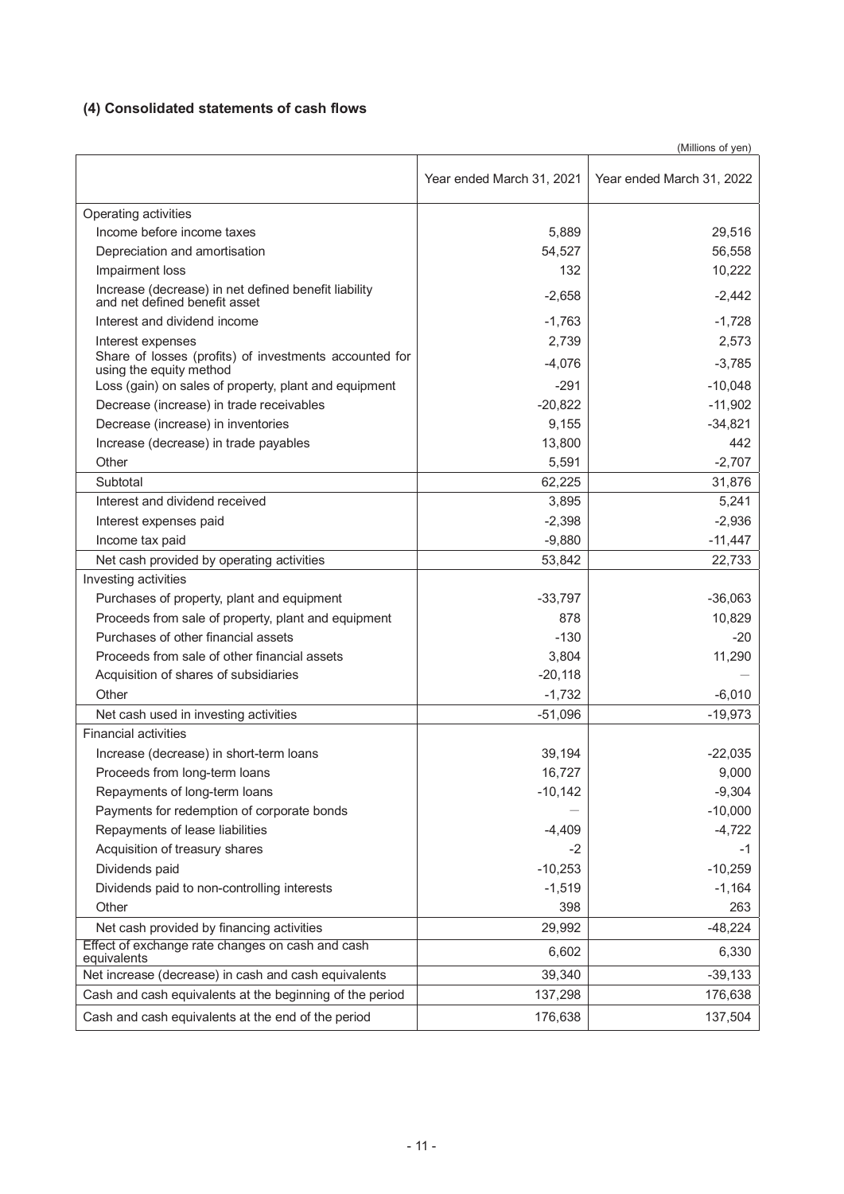## **(4) Consolidated statements of cash flows**

|                                                                                       | (Millions of yen)         |                           |  |  |  |
|---------------------------------------------------------------------------------------|---------------------------|---------------------------|--|--|--|
|                                                                                       | Year ended March 31, 2021 | Year ended March 31, 2022 |  |  |  |
| Operating activities                                                                  |                           |                           |  |  |  |
| Income before income taxes                                                            | 5,889                     | 29,516                    |  |  |  |
| Depreciation and amortisation                                                         | 54,527                    | 56,558                    |  |  |  |
| Impairment loss                                                                       | 132                       | 10,222                    |  |  |  |
| Increase (decrease) in net defined benefit liability<br>and net defined benefit asset | $-2,658$                  | $-2,442$                  |  |  |  |
| Interest and dividend income                                                          | $-1,763$                  | $-1,728$                  |  |  |  |
| Interest expenses                                                                     | 2.739                     | 2,573                     |  |  |  |
| Share of losses (profits) of investments accounted for<br>using the equity method     | $-4,076$                  | $-3,785$                  |  |  |  |
| Loss (gain) on sales of property, plant and equipment                                 | $-291$                    | $-10,048$                 |  |  |  |
| Decrease (increase) in trade receivables                                              | $-20,822$                 | $-11,902$                 |  |  |  |
| Decrease (increase) in inventories                                                    | 9,155                     | $-34,821$                 |  |  |  |
| Increase (decrease) in trade payables                                                 | 13,800                    | 442                       |  |  |  |
| Other                                                                                 | 5,591                     | $-2,707$                  |  |  |  |
| Subtotal                                                                              | 62,225                    | 31,876                    |  |  |  |
| Interest and dividend received                                                        | 3,895                     | 5,241                     |  |  |  |
| Interest expenses paid                                                                | $-2,398$                  | $-2,936$                  |  |  |  |
| Income tax paid                                                                       | $-9,880$                  | $-11,447$                 |  |  |  |
| Net cash provided by operating activities                                             | 53,842                    | 22,733                    |  |  |  |
| Investing activities                                                                  |                           |                           |  |  |  |
| Purchases of property, plant and equipment                                            | $-33,797$                 | $-36,063$                 |  |  |  |
| Proceeds from sale of property, plant and equipment                                   | 878                       | 10,829                    |  |  |  |
| Purchases of other financial assets                                                   | $-130$                    | $-20$                     |  |  |  |
| Proceeds from sale of other financial assets                                          | 3,804                     | 11,290                    |  |  |  |
| Acquisition of shares of subsidiaries                                                 | $-20,118$                 |                           |  |  |  |
| Other                                                                                 | $-1,732$                  | $-6,010$                  |  |  |  |
| Net cash used in investing activities                                                 | $-51,096$                 | $-19,973$                 |  |  |  |
| <b>Financial activities</b>                                                           |                           |                           |  |  |  |
| Increase (decrease) in short-term loans                                               | 39,194                    | $-22,035$                 |  |  |  |
| Proceeds from long-term loans                                                         | 16,727                    | 9,000                     |  |  |  |
| Repayments of long-term loans                                                         | $-10,142$                 | $-9,304$                  |  |  |  |
| Payments for redemption of corporate bonds                                            |                           | $-10,000$                 |  |  |  |
| Repayments of lease liabilities                                                       | $-4,409$                  | $-4,722$                  |  |  |  |
| Acquisition of treasury shares                                                        | -2                        | -1                        |  |  |  |
| Dividends paid                                                                        | $-10,253$                 | $-10,259$                 |  |  |  |
| Dividends paid to non-controlling interests                                           | $-1,519$                  | $-1,164$                  |  |  |  |
| Other                                                                                 | 398                       | 263                       |  |  |  |
| Net cash provided by financing activities                                             | 29,992                    | $-48,224$                 |  |  |  |
| Effect of exchange rate changes on cash and cash<br>equivalents                       | 6,602                     | 6,330                     |  |  |  |
| Net increase (decrease) in cash and cash equivalents                                  | 39,340                    | $-39,133$                 |  |  |  |
| Cash and cash equivalents at the beginning of the period                              | 137,298                   | 176,638                   |  |  |  |
| Cash and cash equivalents at the end of the period                                    | 176,638                   | 137,504                   |  |  |  |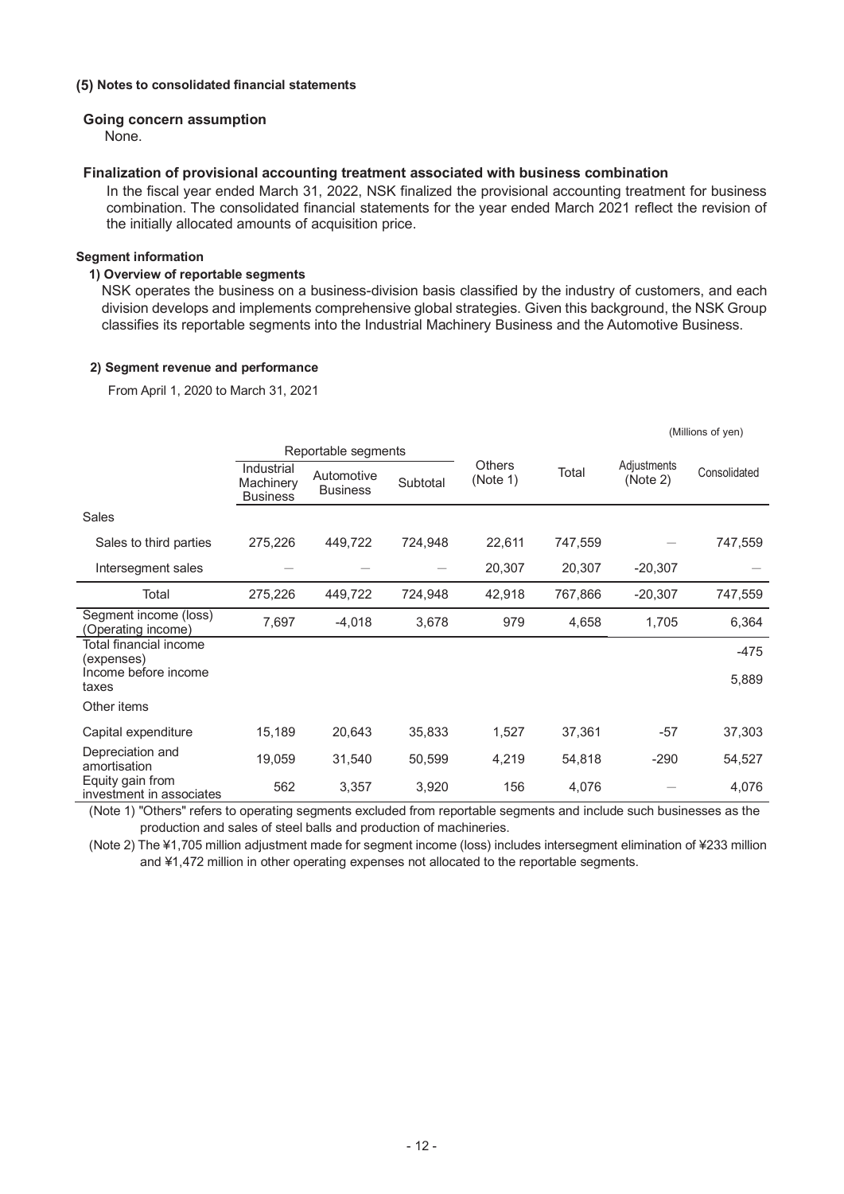#### **(5) Notes to consolidated financial statements**

#### **Going concern assumption**

None.

#### **Finalization of provisional accounting treatment associated with business combination**

In the fiscal year ended March 31, 2022, NSK finalized the provisional accounting treatment for business combination. The consolidated financial statements for the year ended March 2021 reflect the revision of the initially allocated amounts of acquisition price.

#### **Segment information**

#### **1) Overview of reportable segments**

NSK operates the business on a business-division basis classified by the industry of customers, and each division develops and implements comprehensive global strategies. Given this background, the NSK Group classifies its reportable segments into the Industrial Machinery Business and the Automotive Business.

#### **2) Segment revenue and performance**

From April 1, 2020 to March 31, 2021

|                                              |                                            |                                           |         |                                    |         |                         | (Millions of yen) |
|----------------------------------------------|--------------------------------------------|-------------------------------------------|---------|------------------------------------|---------|-------------------------|-------------------|
|                                              |                                            | Reportable segments                       |         |                                    |         |                         |                   |
|                                              | Industrial<br>Machinery<br><b>Business</b> | Automotive<br>Subtotal<br><b>Business</b> |         | <b>Others</b><br>Total<br>(Note 1) |         | Adjustments<br>(Note 2) | Consolidated      |
| Sales                                        |                                            |                                           |         |                                    |         |                         |                   |
| Sales to third parties                       | 275,226                                    | 449,722                                   | 724,948 | 22,611                             | 747,559 |                         | 747,559           |
| Intersegment sales                           |                                            |                                           |         | 20,307                             | 20,307  | $-20,307$               |                   |
| Total                                        | 275,226                                    | 449,722                                   | 724,948 | 42,918                             | 767,866 | $-20,307$               | 747,559           |
| Segment income (loss)<br>(Operating income)  | 7,697                                      | $-4,018$                                  | 3,678   | 979                                | 4,658   | 1,705                   | 6,364             |
| Total financial income<br>(expenses)         |                                            |                                           |         |                                    |         |                         | -475              |
| Income before income<br>taxes                |                                            |                                           |         |                                    |         |                         | 5,889             |
| Other items                                  |                                            |                                           |         |                                    |         |                         |                   |
| Capital expenditure                          | 15,189                                     | 20,643                                    | 35,833  | 1,527                              | 37,361  | $-57$                   | 37,303            |
| Depreciation and<br>amortisation             | 19,059                                     | 31,540                                    | 50,599  | 4,219                              | 54,818  | $-290$                  | 54,527            |
| Equity gain from<br>investment in associates | 562                                        | 3,357                                     | 3,920   | 156                                | 4,076   |                         | 4,076             |

(Note 1) "Others" refers to operating segments excluded from reportable segments and include such businesses as the production and sales of steel balls and production of machineries.

(Note 2) The ¥1,705 million adjustment made for segment income (loss) includes intersegment elimination of ¥233 million and ¥1,472 million in other operating expenses not allocated to the reportable segments.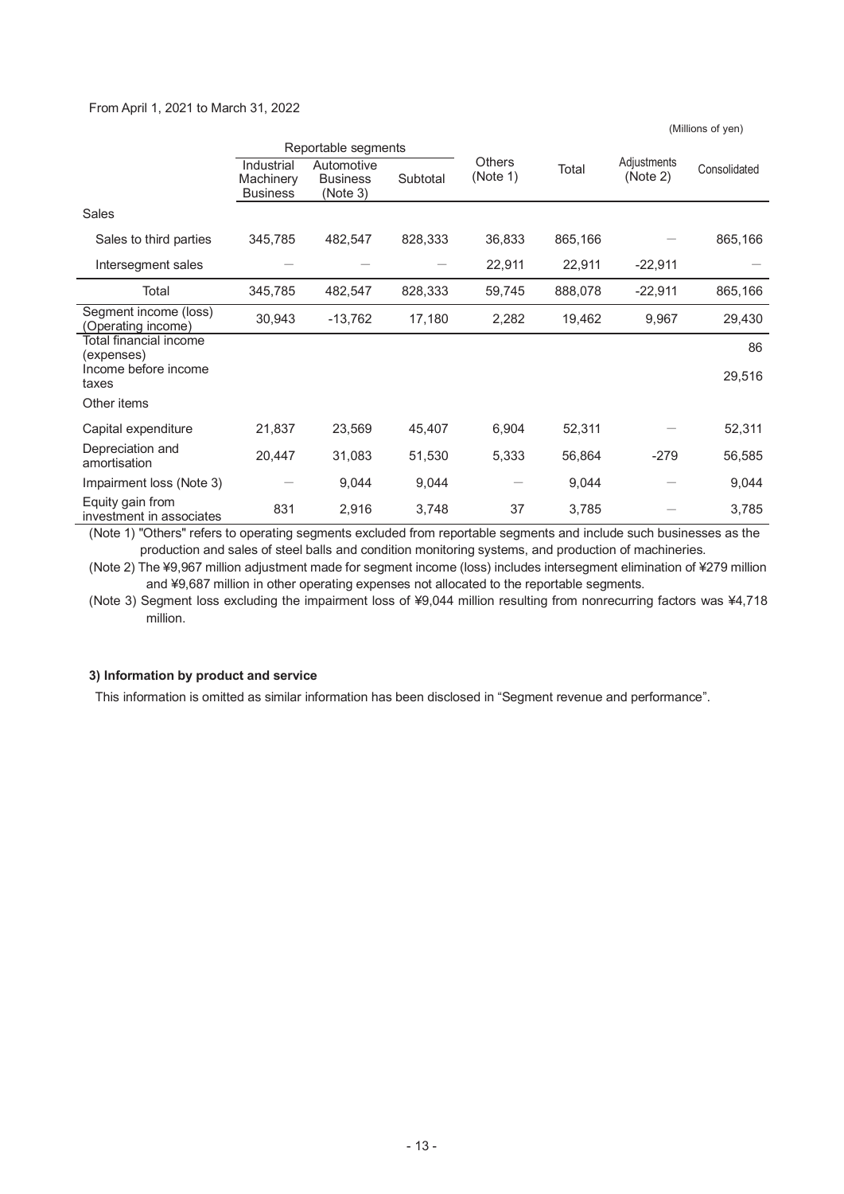#### From April 1, 2021 to March 31, 2022

Reportable segments Others<br>(Note 1) Total Adjustments<br>(Note 2) (Note 2) Consolidated Industrial **Machinery Business Automotive** Business (Note 3) **Subtotal** Sales Sales to third parties 345,785 482,547 828,333 36,833 865,166 – 865,166 Intersegment sales  $22.911$   $22.911$   $-22.911$   $-$ Total 345,785 482,547 828,333 59,745 888,078 -22,911 865,166 Segment income (loss) Segment income (IOSS)<br>(Operating income) 30,943 -13,762 17,180 2,282 19,462 9,967 29,430 Total financial income Total infancial income<br>(expenses) 86 Income before income taxes 29,516 Other items Capital expenditure 21,837 23,569 45,407 6,904 52,311 – 52,311 Depreciation and<br>amortisation amortisation 20,447 31,083 51,530 5,333 56,864 -279 56,585 Impairment loss (Note 3)  $-$  9,044 9,044  $-$  9,044  $-$  9,044  $-$  9,044 Equity gain from Equity gain from<br>investment in associates  $831$   $2,916$   $3,748$   $37$   $3,785$   $3,785$ 

(Millions of yen)

(Note 1) "Others" refers to operating segments excluded from reportable segments and include such businesses as the production and sales of steel balls and condition monitoring systems, and production of machineries.

(Note 2) The ¥9,967 million adjustment made for segment income (loss) includes intersegment elimination of ¥279 million and ¥9,687 million in other operating expenses not allocated to the reportable segments.

(Note 3) Segment loss excluding the impairment loss of ¥9,044 million resulting from nonrecurring factors was ¥4,718 million.

#### **3) Information by product and service**

This information is omitted as similar information has been disclosed in "Segment revenue and performance".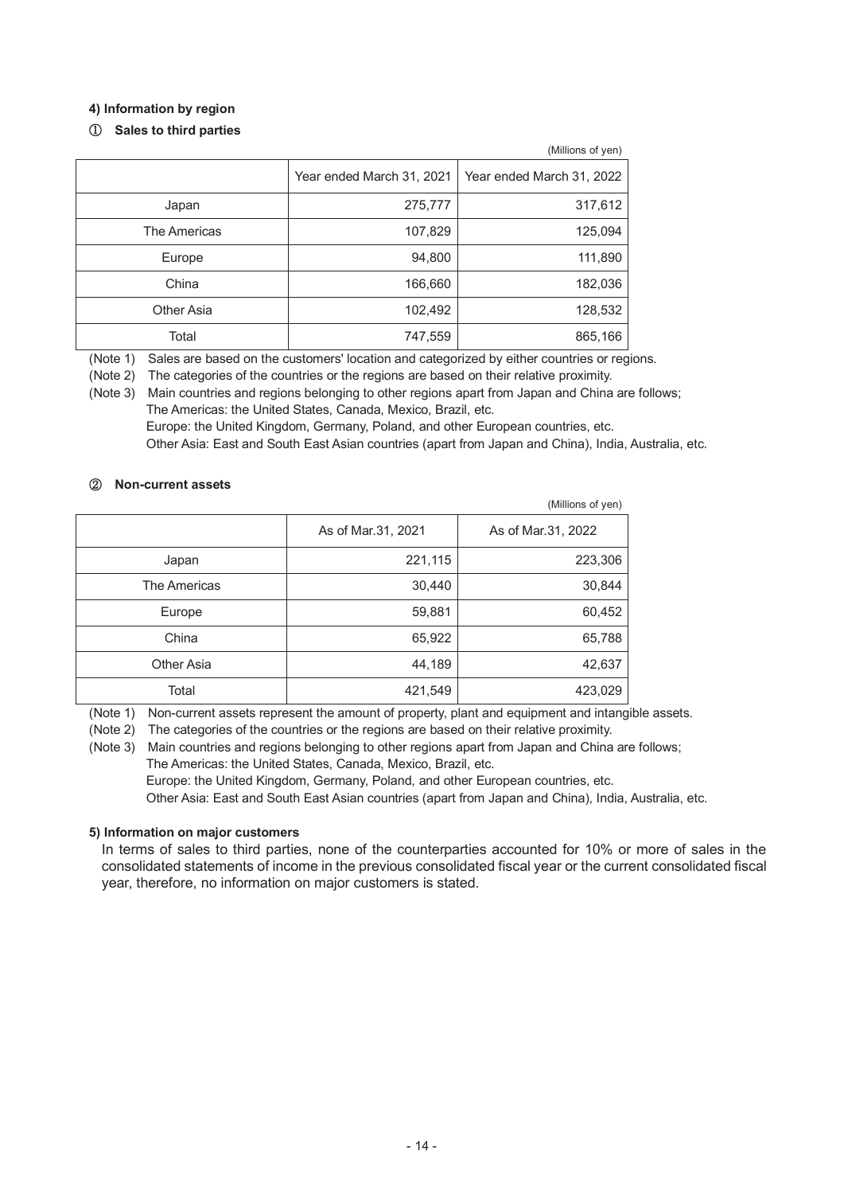## **4) Information by region**

## $\circled{1}$  Sales to third parties

|              |                           | (Millions of yen)         |
|--------------|---------------------------|---------------------------|
|              | Year ended March 31, 2021 | Year ended March 31, 2022 |
| Japan        | 275,777                   | 317,612                   |
| The Americas | 107,829                   | 125,094                   |
| Europe       | 94,800                    | 111,890                   |
| China        | 166,660                   | 182,036                   |
| Other Asia   | 102,492                   | 128,532                   |
| Total        | 747,559                   | 865,166                   |

(Note 1) Sales are based on the customers' location and categorized by either countries or regions.

(Note 2) The categories of the countries or the regions are based on their relative proximity.

(Note 3) Main countries and regions belonging to other regions apart from Japan and China are follows; The Americas: the United States, Canada, Mexico, Brazil, etc. Europe: the United Kingdom, Germany, Poland, and other European countries, etc. Other Asia: East and South East Asian countries (apart from Japan and China), India, Australia, etc.

## ղ **Non-current assets**

|              |                    | (Millions of yen)  |
|--------------|--------------------|--------------------|
|              | As of Mar.31, 2021 | As of Mar.31, 2022 |
| Japan        | 221,115            | 223,306            |
| The Americas | 30,440             | 30,844             |
| Europe       | 59,881             | 60,452             |
| China        | 65,922             | 65,788             |
| Other Asia   | 44,189             | 42,637             |
| Total        | 421,549            | 423,029            |

(Note 1) Non-current assets represent the amount of property, plant and equipment and intangible assets.

(Note 2) The categories of the countries or the regions are based on their relative proximity.

(Note 3) Main countries and regions belonging to other regions apart from Japan and China are follows; The Americas: the United States, Canada, Mexico, Brazil, etc. Europe: the United Kingdom, Germany, Poland, and other European countries, etc. Other Asia: East and South East Asian countries (apart from Japan and China), India, Australia, etc.

## **5) Information on major customers**

In terms of sales to third parties, none of the counterparties accounted for 10% or more of sales in the consolidated statements of income in the previous consolidated fiscal year or the current consolidated fiscal year, therefore, no information on major customers is stated.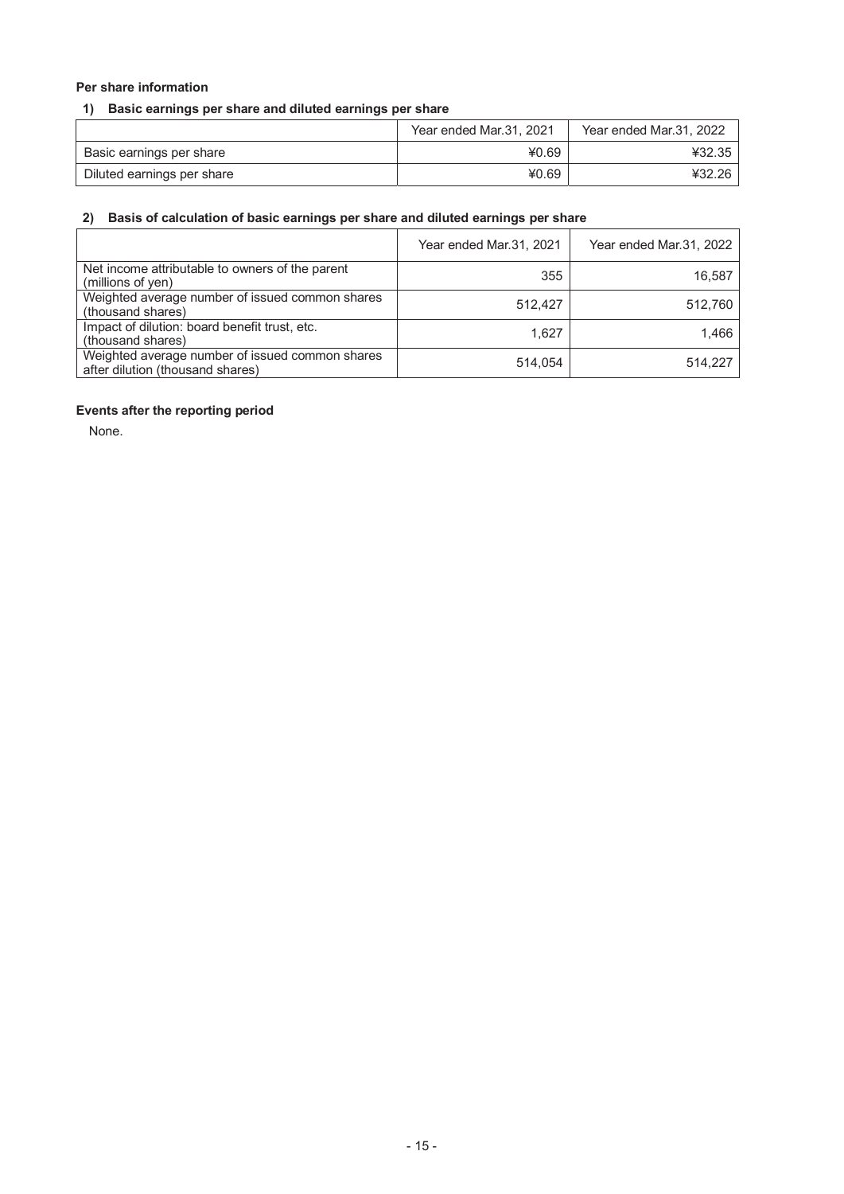## **Per share information**

## **1) Basic earnings per share and diluted earnings per share**

|                            | Year ended Mar.31, 2021 | Year ended Mar.31, 2022 |
|----------------------------|-------------------------|-------------------------|
| Basic earnings per share   | ¥0.69                   | ¥32.35                  |
| Diluted earnings per share | ¥0.69                   | ¥32.26                  |

## **2) Basis of calculation of basic earnings per share and diluted earnings per share**

|                                                                                     | Year ended Mar.31, 2021 | Year ended Mar.31, 2022 |
|-------------------------------------------------------------------------------------|-------------------------|-------------------------|
| Net income attributable to owners of the parent<br>(millions of yen)                | 355                     | 16,587                  |
| Weighted average number of issued common shares<br>(thousand shares)                | 512.427                 | 512.760                 |
| Impact of dilution: board benefit trust, etc.<br>(thousand shares)                  | 1.627                   | 1.466                   |
| Weighted average number of issued common shares<br>after dilution (thousand shares) | 514.054                 | 514.227                 |

## **Events after the reporting period**

None.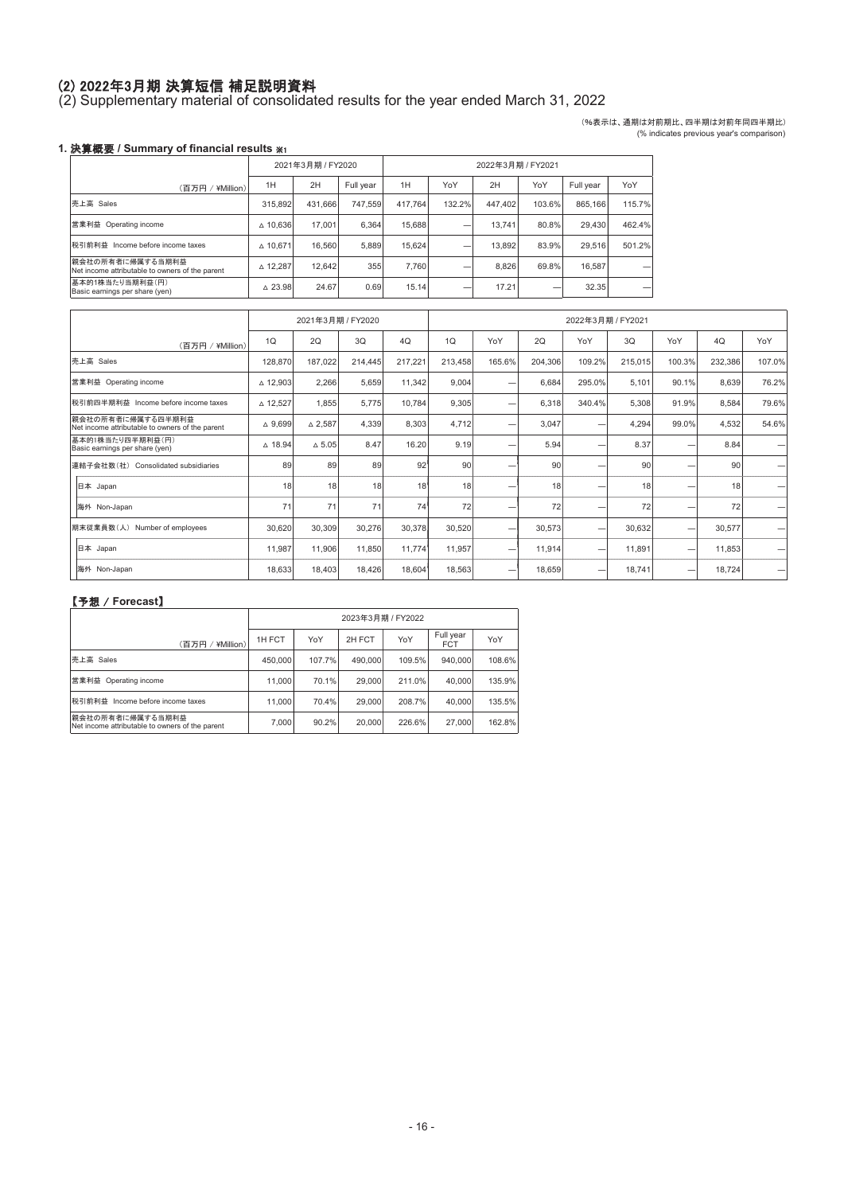## ⑵ 2022年3月期 決算短信 補足説明資料

(2) Supplementary material of consolidated results for the year ended March 31, 2022

(%表示は、通期は対前期比、四半期は対前年同四半期比) (% indicates previous year's comparison)

## 1. 決算概要 / Summary of financial results ※1

|                                                                     | 2021年3月期 / FY2020  |         |           | 2022年3月期 / FY2021 |        |         |        |           |        |
|---------------------------------------------------------------------|--------------------|---------|-----------|-------------------|--------|---------|--------|-----------|--------|
| (百万円)<br>¥Million)                                                  | 1H                 | 2H      | Full year | 1H                | YoY    | 2H      | YoY    | Full year | YoY    |
| 売上高 Sales                                                           | 315.892            | 431.666 | 747.559   | 417.764           | 132.2% | 447.402 | 103.6% | 865.166   | 115.7% |
| 営業利益<br>Operating income                                            | $\triangle$ 10,636 | 17.001  | 6.364     | 15.688            |        | 13.741  | 80.8%  | 29,430    | 462.4% |
| 税引前利益<br>Income before income taxes                                 | △ 10.671           | 16.560  | 5.889     | 15.624            |        | 13.892  | 83.9%  | 29.516    | 501.2% |
| 親会社の所有者に帰属する当期利益<br>Net income attributable to owners of the parent | $\triangle$ 12,287 | 12.642  | 355       | 7.760             |        | 8.826   | 69.8%  | 16.587    |        |
| 基本的1株当たり当期利益(円)<br>Basic earnings per share (yen)                   | $\triangle$ 23.98  | 24.67   | 0.69      | 15.14             |        | 17.21   |        | 32.35     |        |

|                                                                      |                   | 2021年3月期 / FY2020 |         |         |         |        |         | 2022年3月期 / FY2021 |         |        |                 |                          |
|----------------------------------------------------------------------|-------------------|-------------------|---------|---------|---------|--------|---------|-------------------|---------|--------|-----------------|--------------------------|
| (百万円 / ¥Million)                                                     | 1Q                | 2Q                | 3Q      | 4Q      | 1Q      | YoY    | 2Q      | YoY               | 3Q      | YoY    | 4Q              | YoY                      |
| 売上高 Sales                                                            | 128,870           | 187,022           | 214,445 | 217,221 | 213,458 | 165.6% | 204,306 | 109.2%            | 215,015 | 100.3% | 232,386         | 107.0%                   |
| 営業利益 Operating income                                                | △ 12,903          | 2,266             | 5,659   | 11,342  | 9,004   | -      | 6,684   | 295.0%            | 5,101   | 90.1%  | 8,639           | 76.2%                    |
| 税引前四半期利益 Income before income taxes                                  | △ 12,527          | 1,855             | 5,775   | 10,784  | 9,305   | -      | 6,318   | 340.4%            | 5,308   | 91.9%  | 8,584           | 79.6%                    |
| 親会社の所有者に帰属する四半期利益<br>Net income attributable to owners of the parent | $\triangle$ 9,699 | $\triangle$ 2,587 | 4,339   | 8,303   | 4,712   | -      | 3,047   |                   | 4,294   | 99.0%  | 4,532           | 54.6%                    |
| 基本的1株当たり四半期利益(円)<br>Basic earnings per share (yen)                   | $\triangle$ 18.94 | $\triangle$ 5.05  | 8.47    | 16.20   | 9.19    | -      | 5.94    | -                 | 8.37    |        | 8.84            | -                        |
| 連結子会社数(社) Consolidated subsidiaries                                  | 89                | 89                | 89      | 92      | 90      | -      | 90      |                   | 90      |        | 90 <sub>1</sub> | -                        |
| 日本 Japan                                                             | 18                | 18                | 18      | 18      | 18      | -      | 18      | -                 | 18      |        | 18              | -                        |
| 海外 Non-Japan                                                         | 71                | 71                | 71      | 74      | 72      | -      | 72      |                   | 72      |        | 72              | -                        |
| 期末従業員数(人) Number of employees                                        | 30,620            | 30,309            | 30,276  | 30,378  | 30,520  | -      | 30,573  |                   | 30,632  | ۰      | 30,577          | $\overline{\phantom{0}}$ |
| 日本 Japan                                                             | 11,987            | 11,906            | 11,850  | 11,774  | 11,957  | -      | 11,914  | -                 | 11,891  | ۰      | 11,853          | -                        |
| 海外 Non-Japan                                                         | 18,633            | 18,403            | 18,426  | 18,604  | 18,563  | -      | 18,659  | -                 | 18,741  | -      | 18,724          | -                        |

|                                                                     |         |        |         | 2023年3月期 / FY2022 |                         |        |
|---------------------------------------------------------------------|---------|--------|---------|-------------------|-------------------------|--------|
| (百万円 /<br>¥Million)                                                 | 1H FCT  | YoY    | 2H FCT  | YoY               | Full year<br><b>FCT</b> | YoY    |
| 売上高 Sales                                                           | 450,000 | 107.7% | 490.000 | 109.5%            | 940.000                 | 108.6% |
| 営業利益 Operating income                                               | 11,000  | 70.1%  | 29,000  | 211.0%            | 40.000                  | 135.9% |
| 税引前利益<br>Income before income taxes                                 | 11,000  | 70.4%  | 29,000  | 208.7%            | 40.000                  | 135.5% |
| 親会社の所有者に帰属する当期利益<br>Net income attributable to owners of the parent | 7.000   | 90.2%  | 20,000  | 226.6%            | 27,000                  | 162.8% |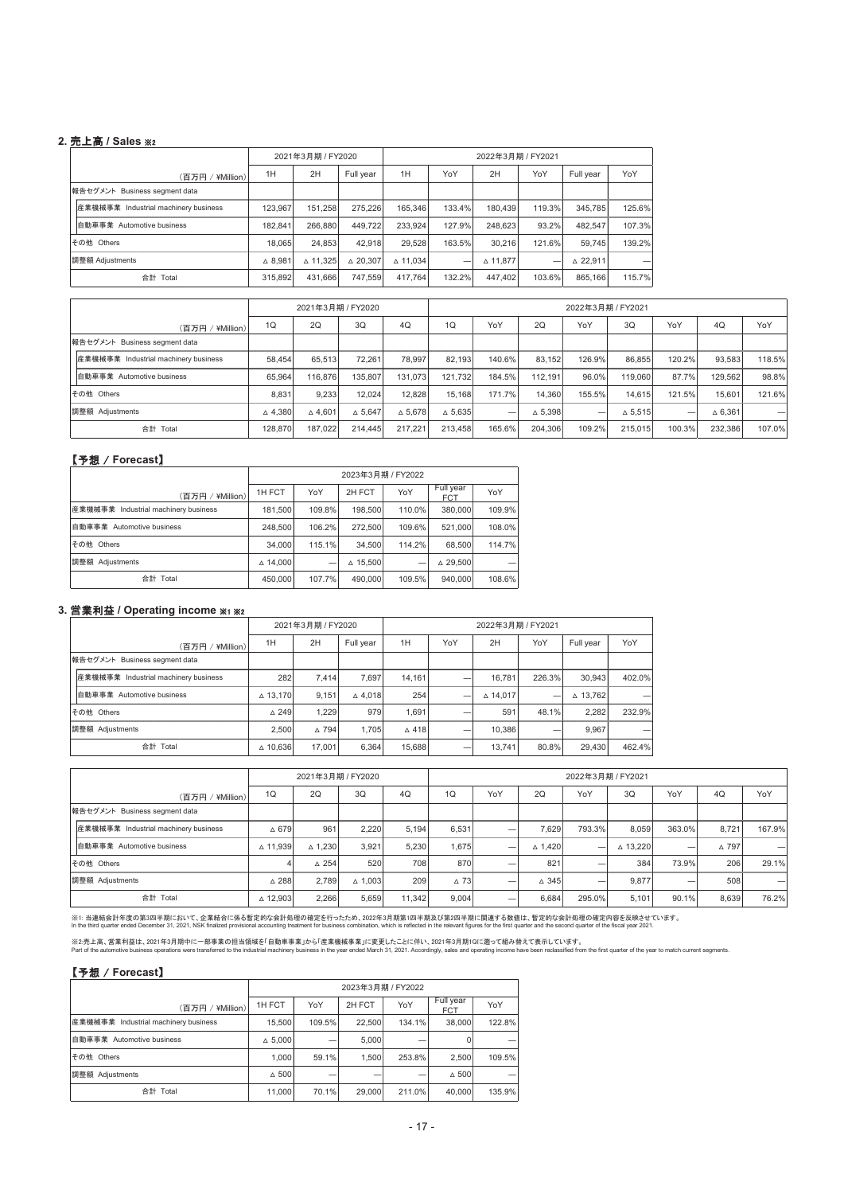#### **2.** ୖ㧗 **/ Sales** 䯲䢴

| (百万円 /<br>(¥Million)                 | 1H                                                             | 2H       | Full year          | 1H                                     | YoY                | 2H                 | YoY                        | Full year          | YoY                                 |
|--------------------------------------|----------------------------------------------------------------|----------|--------------------|----------------------------------------|--------------------|--------------------|----------------------------|--------------------|-------------------------------------|
|                                      |                                                                |          |                    |                                        |                    |                    |                            |                    |                                     |
| 産業機械事業 Industrial machinery business | 123.967                                                        | 151.258  | 275.226            | 165.346                                |                    | 180.439            |                            | 345.785            | 125.6%                              |
| 自動車事業 Automotive business            | 182.841                                                        | 266.880  |                    | 233.924                                |                    | 248.623            |                            | 482.547            | 107.3%                              |
|                                      | 18.065                                                         |          | 42.918             | 29.528                                 |                    | 30.216             |                            | 59.745             | 139.2%                              |
|                                      | $\triangle$ 8.981                                              | △ 11.325 | $\triangle$ 20.307 | △ 11.034                               | -                  | $\triangle$ 11.877 | -                          | $\triangle$ 22.911 | -                                   |
| 合計 Total                             | 315.892                                                        |          |                    | 417.764                                | 132.2%             | 447.402            |                            | 865.166            | 115.7%                              |
|                                      | 報告セグメント Business seament data<br>その他 Others<br>調整額 Adjustments |          |                    | 2021年3月期 / FY2020<br>24.853<br>431.666 | 449.722<br>747.559 |                    | 133.4%<br>127.9%<br>163.5% | 2022年3月期 / FY2021  | 119.3%<br>93.2%<br>121.6%<br>103.6% |

|                                      |                   | 2021年3月期 / FY2020 |                   |                   |                   | 2022年3月期 / FY2021 |                   |                          |                   |        |                   |        |
|--------------------------------------|-------------------|-------------------|-------------------|-------------------|-------------------|-------------------|-------------------|--------------------------|-------------------|--------|-------------------|--------|
| (百万円 / ¥Million)                     | 1Q                | <b>2Q</b>         | 3Q                | 4Q                | 1Q                | YoY               | 2Q                | YoY                      | 3Q                | YoY    | 4Q                | YoY    |
| 報告セグメント Business segment data        |                   |                   |                   |                   |                   |                   |                   |                          |                   |        |                   |        |
| 産業機械事業 Industrial machinery business | 58.454            | 65.513            | 72.261            | 78.997            | 82.193            | 140.6%            | 83.152            | 126.9%                   | 86.855            | 120.2% | 93.583            | 118.5% |
| 自動車事業 Automotive business            | 65.964            | 116,876           | 135.807           | 131.073           | 121.732           | 184.5%            | 112.191           | 96.0%                    | 119,060           | 87.7%  | 129.562           | 98.8%  |
| その他 Others                           | 8.831             | 9.233             | 12.024            | 12.828            | 15.168            | 171.7%            | 14.360            | 155.5%                   | 14.615            | 121.5% | 15.601            | 121.6% |
| 調整額 Adjustments                      | $\triangle$ 4,380 | $\triangle$ 4.601 | $\triangle$ 5.647 | $\triangle$ 5.678 | $\triangle$ 5.635 | -                 | $\triangle$ 5.398 | $\overline{\phantom{a}}$ | $\triangle$ 5.515 | -      | $\triangle$ 6.361 | -      |
| 合計 Total                             | 128,870           | 187.022           | 214,445           | 217.221           | 213.458           | 165.6%            | 204.306           | 109.2%                   | 215.015           | 100.3% | 232.386           | 107.0% |

#### 【予想 / Forecast】

|                                      |                    |        |                    | 2023年3月期 / FY2022 |                         |        |
|--------------------------------------|--------------------|--------|--------------------|-------------------|-------------------------|--------|
| (百万円 / ¥Million)                     | 1H FCT             | YoY    | 2H FCT             | YoY               | Full year<br><b>FCT</b> | YoY    |
| 産業機械事業 Industrial machinery business | 181.500            | 109.8% | 198,500            | 110.0%            | 380,000                 | 109.9% |
| 自動車事業 Automotive business            | 248,500            | 106.2% | 272.500            | 109.6%            | 521.000                 | 108.0% |
| その他 Others                           | 34,000             | 115.1% | 34,500             | 114.2%            | 68,500                  | 114.7% |
| 調整額 Adjustments                      | $\triangle$ 14.000 |        | $\triangle$ 15.500 |                   | $\triangle$ 29.500      | -      |
| 合計 Total                             | 450,000            | 107.7% | 490,000            | 109.5%            | 940.000                 | 108.6% |

#### 3. 営業利益 / Operating income ※1 ※2

|                                      |                    | 2021年3月期 / FY2020 |                   |                 |     | 2022年3月期 / FY2021  |                          |                    |        |
|--------------------------------------|--------------------|-------------------|-------------------|-----------------|-----|--------------------|--------------------------|--------------------|--------|
| (百万円 / ¥Million)                     | 1H                 | 2H                | Full year         | 1H              | YoY | 2H                 | YoY                      | Full year          | YoY    |
| 報告セグメント Business segment data        |                    |                   |                   |                 |     |                    |                          |                    |        |
| 産業機械事業 Industrial machinery business | 282                | 7.414             | 7.697             | 14.161          |     | 16.781             | 226.3%                   | 30.943             | 402.0% |
| 自動車事業 Automotive business            | $\triangle$ 13.170 | 9.151             | $\triangle$ 4.018 | 254             | -   | $\triangle$ 14.017 | $\overline{\phantom{0}}$ | $\triangle$ 13.762 |        |
| その他 Others                           | $\triangle$ 249    | 1.229             | 979               | 1.691           |     | 591                | 48.1%                    | 2.282              | 232.9% |
| 調整額 Adjustments                      | 2.500              | $\triangle$ 794   | 1.705             | $\triangle$ 418 |     | 10.386             | $\overline{\phantom{a}}$ | 9.967              |        |
| 合計 Total                             | $\triangle$ 10,636 | 17.001            | 6.364             | 15,688          |     | 13.741             | 80.8%                    | 29,430             | 462.4% |

|                                      |                 | 2021年3月期 / FY2020 |                   |        | 2022年3月期 / FY2021 |     |                   |        |          |        |       |        |
|--------------------------------------|-----------------|-------------------|-------------------|--------|-------------------|-----|-------------------|--------|----------|--------|-------|--------|
| (百万円 / ¥Million)                     | 1Q              | 2Q                | 3Q                | 4Q     | 1Q                | YoY | 2Q                | YoY    | 3Q       | YoY    | 4Q    | YoY    |
| 報告セグメント Business segment data        |                 |                   |                   |        |                   |     |                   |        |          |        |       |        |
| 産業機械事業 Industrial machinery business | $\triangle$ 679 | 961               | 2.220             | 5.194  | 6.531             | -   | 7.629             | 793.3% | 8.059    | 363.0% | 8.721 | 167.9% |
| 自動車事業 Automotive business            | △ 11.939        | $\triangle$ 1.230 | 3.921             | 5.230  | 1.675             | -   | $\triangle$ 1.420 |        | △ 13.220 | -      | △ 797 |        |
| その他 Others                           |                 | $\triangle$ 254   | 520               | 708    | 870               | -   | 821               |        | 384      | 73.9%  | 206   | 29.1%  |
| 調整額 Adjustments                      | $\triangle$ 288 | 2.789             | $\triangle$ 1.003 | 209    | $\triangle$ 73    | _   | $\triangle$ 345   |        | 9.877    | -      | 508   | -      |
| 合計 Total                             | △ 12,903        | 2,266             | 5,659             | 11.342 | 9,004             |     | 6.684             | 295.0% | 5.101    | 90.1%  | 8.639 | 76.2%  |

※i:当連結会計年度の第3四半期において、企業結合に係る暫定的な会計処理の確定を行ったため、2022年3月期第1四半期及び第2四半期に同連する数値は、暫定的な会計の理の確定内容を<br>In the third quarter ended December 31, 2021, NSK finalized provisional accounting treatment for business combination, which is ref

※2.売上高、営業利益は、2021年3月期中に一部事業の担当領域を1自動車事業」から1産業機械事業」に変更したことに伴い、2021年3月期10に遡って組み替えて表示しています。<br>Part of the automotive business operations were transferred to the industrial machiney business in the year ended March 31, 2021. Ac

|                                      |                   |        | 2023年3月期 / FY2022 |        |                         |        |
|--------------------------------------|-------------------|--------|-------------------|--------|-------------------------|--------|
| (百万円 / ¥Million)                     | 1H FCT            | YoY    | 2H FCT            | YoY    | Full year<br><b>FCT</b> | YoY    |
| 産業機械事業 Industrial machinery business | 15,500            | 109.5% | 22,500            | 134.1% | 38,000                  | 122.8% |
| 自動車事業 Automotive business            | $\triangle$ 5.000 |        | 5.000             |        |                         |        |
| その他 Others                           | 1.000             | 59.1%  | 1.500             | 253.8% | 2.500                   | 109.5% |
| 調整額 Adjustments                      | $\triangle$ 500   |        |                   |        | $\triangle$ 500         |        |
| 合計 Total                             | 11.000            | 70.1%  | 29,000            | 211.0% | 40.000                  | 135.9% |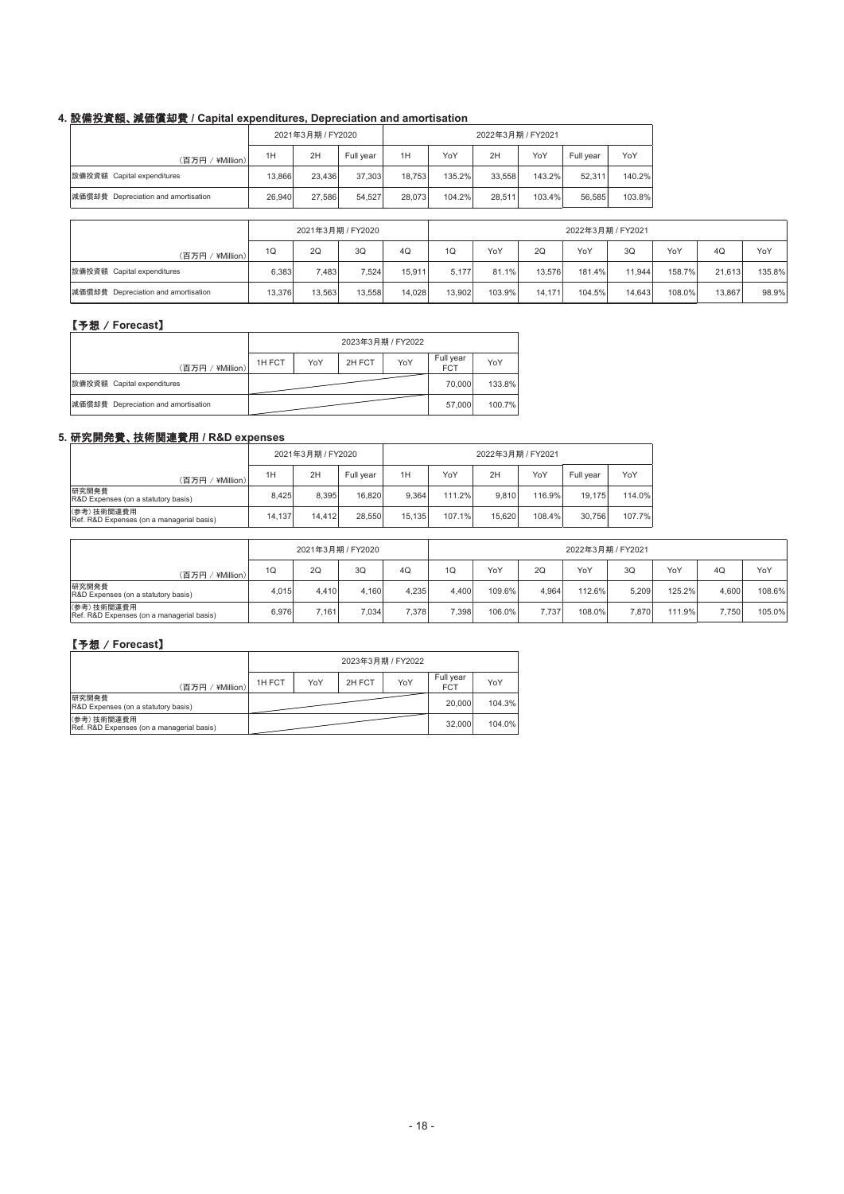## **4.** タഛᢞ㈨㢠䚸ῶ౯ൾ༷㈝ **/ Capital expenditures, Depreciation and amortisation**

|                                     |        | 2021年3月期 / FY2020 |           | 2022年3月期 / FY2021 |        |        |        |           |        |  |
|-------------------------------------|--------|-------------------|-----------|-------------------|--------|--------|--------|-----------|--------|--|
| (百万円 / ¥Million)                    | 1H     | 2H                | Full year | 1H                | YoY    | 2H     | YoY    | Full year | YoY    |  |
| 設備投資額 Capital expenditures          | 13.866 | 23.436            | 37.303    | 18.753            | 135.2% | 33.558 | 143.2% | 52.311    | 140.2% |  |
| 減価償却費 Depreciation and amortisation | 26.940 | 27.586            | 54.527    | 28.073            | 104.2% | 28.511 | 103.4% | 56.585    | 103.8% |  |

|                                     | 2021年3月期 / FY2020 |        |        |        | 2022年3月期 / FY2021 |        |        |        |        |        |        |        |
|-------------------------------------|-------------------|--------|--------|--------|-------------------|--------|--------|--------|--------|--------|--------|--------|
| (百万円 / ¥Million)                    | 1Q                | 2Q     | 3Q     | 4Q     | 1Q                | YoY    | 2Q     | YoY    | 3Q     | YoY    | 4Q     | YoY    |
| 設備投資額 Capital expenditures          | 6.383             | 7,483  | 7.524  | 15.911 | 5.177             | 81.1%  | 13.576 | 181.4% | 11.944 | 158.7% | 21.613 | 135.8% |
| 減価償却費 Depreciation and amortisation | 13.376            | 13.563 | 13.558 | 14.028 | 13.902            | 103.9% | 14.171 | 104.5% | 14.643 | 108.0% | 13.867 | 98.9%  |

## 【予想 / Forecast】

|                                     |        |     | 2023年3月期 / FY2022 |     |                         |        |
|-------------------------------------|--------|-----|-------------------|-----|-------------------------|--------|
| ' ¥Million).<br>(百万円 /              | 1H FCT | YoY | 2H FCT            | YoY | Full year<br><b>FCT</b> | YoY    |
| 設備投資額 Capital expenditures          |        |     |                   |     | 70,000                  | 133.8% |
| 減価償却費 Depreciation and amortisation |        |     |                   |     | 57,000                  | 100.7% |

## **5.** ◊✲㛤Ⓨ㈝䚸ᢏ⾡㛵㐃㈝⏝ **/ R&D expenses**

|                                                         |        | 2021年3月期 / FY2020 |           | 2022年3月期 / FY2021 |        |        |        |           |        |  |
|---------------------------------------------------------|--------|-------------------|-----------|-------------------|--------|--------|--------|-----------|--------|--|
| 百万円/<br>¥Million)                                       | 1H     | 2H                | Full year | 1H                | YoY    | 2H     | YoY    | Full vear | YoY    |  |
| 研究開発費<br><b>R&amp;D</b> Expenses (on a statutory basis) | 8.425  | 8.395             | 16,820    | 9.364             | 111.2% | 9.810  | 116.9% | 19.175    | 114.0% |  |
| (参考)技術関連費用<br>Ref. R&D Expenses (on a managerial basis) | 14.137 | 14.412            | 28.550    | 15.135            | 107.1% | 15.620 | 108.4% | 30.756    | 107.7% |  |

|                                                         | 2021年3月期 / FY2020 |       |       | 2022年3月期 / FY2021 |       |        |                |        |       |        |                |        |
|---------------------------------------------------------|-------------------|-------|-------|-------------------|-------|--------|----------------|--------|-------|--------|----------------|--------|
| (百万円 / ¥Million)                                        | 1Q                | 20    | 3Q    | 4Q                | 1Q    | YoY    | 2 <sub>G</sub> | YoY    | 3Q    | YoY    | 4 <sub>Q</sub> | YoY    |
| 研究開発費<br>R&D Expenses (on a statutory basis)            | 4.015             | 4.410 | 4.160 | 4.235             | 4.400 | 109.6% | 4.964          | 112.6% | 5.209 | 125.2% | 4.600          | 108.6% |
| (参考)技術関連費用<br>Ref. R&D Expenses (on a managerial basis) | 6.976             | 7.161 | 7.034 | 7.378             | 7.398 | 106.0% | 7.737          | 108.0% | 7.870 | 111.9% | 7.750          | 105.0% |

|                                                         | 2023年3月期 / FY2022 |     |        |     |                         |        |  |
|---------------------------------------------------------|-------------------|-----|--------|-----|-------------------------|--------|--|
| ¥Million)<br>(百万円)                                      | 1H FCT            | YoY | 2H FCT | YoY | Full year<br><b>FCT</b> | YoY    |  |
| 研究開発費<br>R&D Expenses (on a statutory basis)            |                   |     |        |     | 20,000                  | 104.3% |  |
| (参考)技術関連費用<br>Ref. R&D Expenses (on a managerial basis) |                   |     |        |     | 32,000                  | 104.0% |  |